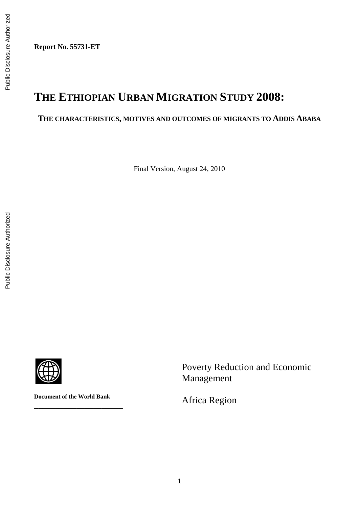**Report No. 55731-ET** 

# **THE ETHIOPIAN URBAN MIGRATION STUDY 2008:**

# **THE CHARACTERISTICS, MOTIVES AND OUTCOMES OF MIGRANTS TO ADDIS ABABA**

Final Version, August 24, 2010



**Document of the World Bank**

\_\_\_\_\_\_\_\_\_\_\_\_\_\_\_\_\_\_\_\_\_

Poverty Reduction and Economic Management

Africa Region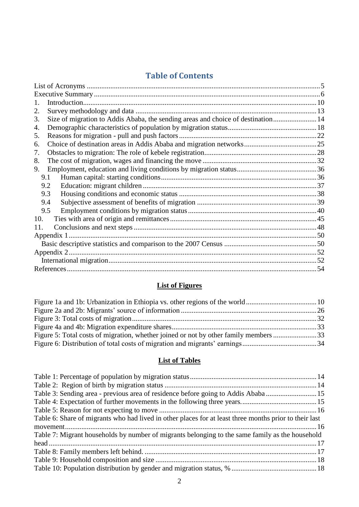# **Table of Contents**

| $\mathbf{1}$ .                                                                         |  |
|----------------------------------------------------------------------------------------|--|
| 2.                                                                                     |  |
| Size of migration to Addis Ababa, the sending areas and choice of destination 14<br>3. |  |
| 4.                                                                                     |  |
| 5.                                                                                     |  |
| 6.                                                                                     |  |
| 7.                                                                                     |  |
| 8.                                                                                     |  |
| 9.                                                                                     |  |
| 9.1                                                                                    |  |
| 9.2                                                                                    |  |
| 9.3                                                                                    |  |
| 9.4                                                                                    |  |
| 9.5                                                                                    |  |
| 10.                                                                                    |  |
| 11.                                                                                    |  |
|                                                                                        |  |
|                                                                                        |  |
|                                                                                        |  |
|                                                                                        |  |
|                                                                                        |  |
|                                                                                        |  |

# **List of Figures**

| Figure 5: Total costs of migration, whether joined or not by other family members 33 |  |
|--------------------------------------------------------------------------------------|--|
|                                                                                      |  |

# **List of Tables**

| Table 3: Sending area - previous area of residence before going to Addis Ababa 15                      |  |
|--------------------------------------------------------------------------------------------------------|--|
|                                                                                                        |  |
|                                                                                                        |  |
| Table 6: Share of migrants who had lived in other places for at least three months prior to their last |  |
|                                                                                                        |  |
| Table 7: Migrant households by number of migrants belonging to the same family as the household        |  |
|                                                                                                        |  |
|                                                                                                        |  |
|                                                                                                        |  |
|                                                                                                        |  |
|                                                                                                        |  |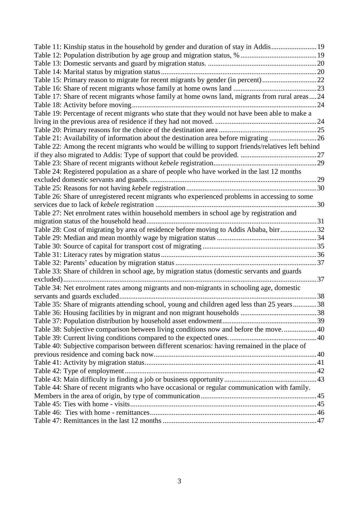| Table 11: Kinship status in the household by gender and duration of stay in Addis19               |  |
|---------------------------------------------------------------------------------------------------|--|
|                                                                                                   |  |
|                                                                                                   |  |
|                                                                                                   |  |
| Table 15: Primary reason to migrate for recent migrants by gender (in percent)22                  |  |
|                                                                                                   |  |
| Table 17: Share of recent migrants whose family at home owns land, migrants from rural areas24    |  |
|                                                                                                   |  |
| Table 19: Percentage of recent migrants who state that they would not have been able to make a    |  |
|                                                                                                   |  |
|                                                                                                   |  |
| Table 21: Availability of information about the destination area before migrating 26              |  |
| Table 22: Among the recent migrants who would be willing to support friends/relatives left behind |  |
|                                                                                                   |  |
|                                                                                                   |  |
| Table 24: Registered population as a share of people who have worked in the last 12 months        |  |
|                                                                                                   |  |
|                                                                                                   |  |
| Table 26: Share of unregistered recent migrants who experienced problems in accessing to some     |  |
|                                                                                                   |  |
| Table 27: Net enrolment rates within household members in school age by registration and          |  |
|                                                                                                   |  |
| Table 28: Cost of migrating by area of residence before moving to Addis Ababa, birr32             |  |
|                                                                                                   |  |
|                                                                                                   |  |
|                                                                                                   |  |
|                                                                                                   |  |
| Table 33: Share of children in school age, by migration status (domestic servants and guards      |  |
|                                                                                                   |  |
| Table 34: Net enrolment rates among migrants and non-migrants in schooling age, domestic          |  |
|                                                                                                   |  |
| Table 35: Share of migrants attending school, young and children aged less than 25 years38        |  |
|                                                                                                   |  |
|                                                                                                   |  |
| Table 38: Subjective comparison between living conditions now and before the move 40              |  |
|                                                                                                   |  |
| Table 40: Subjective comparison between different scenarios: having remained in the place of      |  |
|                                                                                                   |  |
|                                                                                                   |  |
|                                                                                                   |  |
|                                                                                                   |  |
| Table 44: Share of recent migrants who have occasional or regular communication with family.      |  |
|                                                                                                   |  |
|                                                                                                   |  |
|                                                                                                   |  |
|                                                                                                   |  |
|                                                                                                   |  |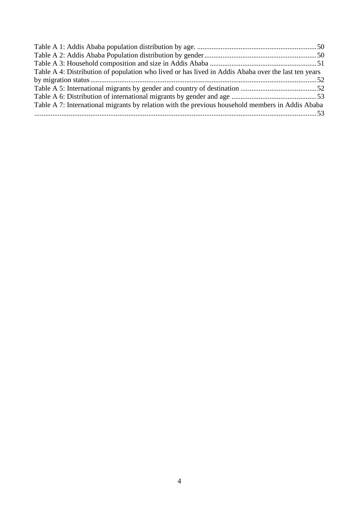| Table A 4: Distribution of population who lived or has lived in Addis Ababa over the last ten years |  |
|-----------------------------------------------------------------------------------------------------|--|
|                                                                                                     |  |
|                                                                                                     |  |
|                                                                                                     |  |
| Table A 7: International migrants by relation with the previous household members in Addis Ababa    |  |
|                                                                                                     |  |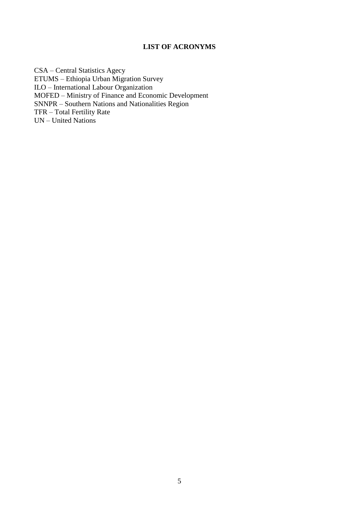### **LIST OF ACRONYMS**

<span id="page-4-0"></span>CSA – Central Statistics Agecy ETUMS – Ethiopia Urban Migration Survey ILO – International Labour Organization MOFED – Ministry of Finance and Economic Development SNNPR – Southern Nations and Nationalities Region TFR – Total Fertility Rate UN – United Nations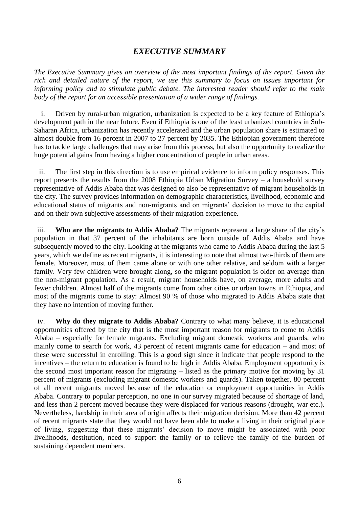# *EXECUTIVE SUMMARY*

<span id="page-5-0"></span>*The Executive Summary gives an overview of the most important findings of the report. Given the rich and detailed nature of the report, we use this summary to focus on issues important for informing policy and to stimulate public debate. The interested reader should refer to the main body of the report for an accessible presentation of a wider range of findings.* 

i. Driven by rural-urban migration, urbanization is expected to be a key feature of Ethiopia's development path in the near future. Even if Ethiopia is one of the least urbanized countries in Sub-Saharan Africa, urbanization has recently accelerated and the urban population share is estimated to almost double from 16 percent in 2007 to 27 percent by 2035. The Ethiopian government therefore has to tackle large challenges that may arise from this process, but also the opportunity to realize the huge potential gains from having a higher concentration of people in urban areas.

ii. The first step in this direction is to use empirical evidence to inform policy responses. This report presents the results from the 2008 Ethiopia Urban Migration Survey – a household survey representative of Addis Ababa that was designed to also be representative of migrant households in the city. The survey provides information on demographic characteristics, livelihood, economic and educational status of migrants and non-migrants and on migrants' decision to move to the capital and on their own subjective assessments of their migration experience.

iii. **Who are the migrants to Addis Ababa?** The migrants represent a large share of the city's population in that 37 percent of the inhabitants are born outside of Addis Ababa and have subsequently moved to the city. Looking at the migrants who came to Addis Ababa during the last 5 years, which we define as recent migrants, it is interesting to note that almost two-thirds of them are female. Moreover, most of them came alone or with one other relative, and seldom with a larger family. Very few children were brought along, so the migrant population is older on average than the non-migrant population. As a result, migrant households have, on average, more adults and fewer children. Almost half of the migrants come from other cities or urban towns in Ethiopia, and most of the migrants come to stay: Almost 90 % of those who migrated to Addis Ababa state that they have no intention of moving further.

iv. **Why do they migrate to Addis Ababa?** Contrary to what many believe, it is educational opportunities offered by the city that is the most important reason for migrants to come to Addis Ababa – especially for female migrants. Excluding migrant domestic workers and guards, who mainly come to search for work, 43 percent of recent migrants came for education – and most of these were successful in enrolling. This is a good sign since it indicate that people respond to the incentives – the return to education is found to be high in Addis Ababa. Employment opportunity is the second most important reason for migrating – listed as the primary motive for moving by 31 percent of migrants (excluding migrant domestic workers and guards). Taken together, 80 percent of all recent migrants moved because of the education or employment opportunities in Addis Ababa. Contrary to popular perception, no one in our survey migrated because of shortage of land, and less than 2 percent moved because they were displaced for various reasons (drought, war etc.). Nevertheless, hardship in their area of origin affects their migration decision. More than 42 percent of recent migrants state that they would not have been able to make a living in their original place of living, suggesting that these migrants' decision to move might be associated with poor livelihoods, destitution, need to support the family or to relieve the family of the burden of sustaining dependent members.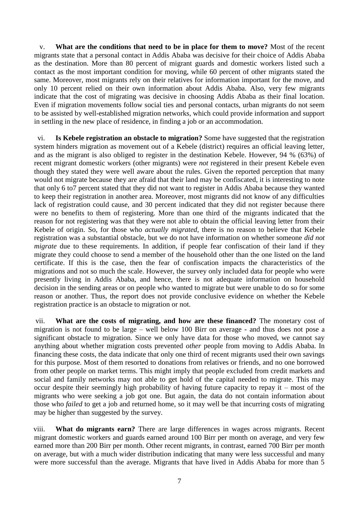v. **What are the conditions that need to be in place for them to move?** Most of the recent migrants state that a personal contact in Addis Ababa was decisive for their choice of Addis Ababa as the destination. More than 80 percent of migrant guards and domestic workers listed such a contact as the most important condition for moving, while 60 percent of other migrants stated the same. Moreover, most migrants rely on their relatives for information important for the move, and only 10 percent relied on their own information about Addis Ababa. Also, very few migrants indicate that the cost of migrating was decisive in choosing Addis Ababa as their final location. Even if migration movements follow social ties and personal contacts, urban migrants do not seem to be assisted by well-established migration networks, which could provide information and support in settling in the new place of residence, in finding a job or an accommodation.

vi. **Is Kebele registration an obstacle to migration?** Some have suggested that the registration system hinders migration as movement out of a Kebele (district) requires an official leaving letter, and as the migrant is also obliged to register in the destination Kebele. However, 94 % (63%) of recent migrant domestic workers (other migrants) were *not* registered in their present Kebele even though they stated they were well aware about the rules. Given the reported perception that many would not migrate because they are afraid that their land may be confiscated, it is interesting to note that only 6 to7 percent stated that they did not want to register in Addis Ababa because they wanted to keep their registration in another area. Moreover, most migrants did not know of any difficulties lack of registration could cause, and 30 percent indicated that they did not register because there were no benefits to them of registering. More than one third of the migrants indicated that the reason for not registering was that they were not able to obtain the official leaving letter from their Kebele of origin. So, for those who *actually migrated*, there is no reason to believe that Kebele registration was a substantial obstacle, but we do not have information on whether someone *did not migrate* due to these requirements. In addition, if people fear confiscation of their land if they migrate they could choose to send a member of the household other than the one listed on the land certificate. If this is the case, then the fear of confiscation impacts the characteristics of the migrations and not so much the scale. However, the survey only included data for people who were presently living in Addis Ababa, and hence, there is not adequate information on household decision in the sending areas or on people who wanted to migrate but were unable to do so for some reason or another. Thus, the report does not provide conclusive evidence on whether the Kebele registration practice is an obstacle to migration or not.

vii. **What are the costs of migrating, and how are these financed?** The monetary cost of migration is not found to be large – well below 100 Birr on average - and thus does not pose a significant obstacle to migration. Since we only have data for those who moved, we cannot say anything about whether migration costs prevented *other* people from moving to Addis Ababa. In financing these costs, the data indicate that only one third of recent migrants used their own savings for this purpose. Most of them resorted to donations from relatives or friends, and no one borrowed from other people on market terms. This might imply that people excluded from credit markets and social and family networks may not able to get hold of the capital needed to migrate. This may occur despite their seemingly high probability of having future capacity to repay it – most of the migrants who were seeking a job got one. But again, the data do not contain information about those who *failed* to get a job and returned home, so it may well be that incurring costs of migrating may be higher than suggested by the survey.

viii. **What do migrants earn?** There are large differences in wages across migrants. Recent migrant domestic workers and guards earned around 100 Birr per month on average, and very few earned more than 200 Birr per month. Other recent migrants, in contrast, earned 700 Birr per month on average, but with a much wider distribution indicating that many were less successful and many were more successful than the average. Migrants that have lived in Addis Ababa for more than 5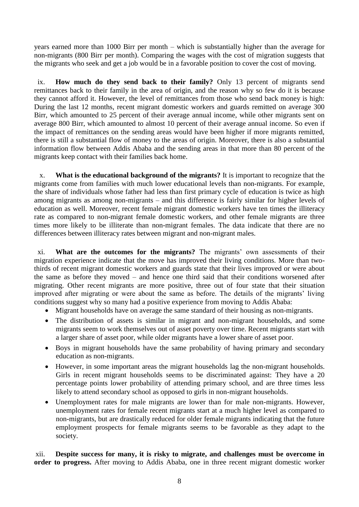years earned more than 1000 Birr per month – which is substantially higher than the average for non-migrants (800 Birr per month). Comparing the wages with the cost of migration suggests that the migrants who seek and get a job would be in a favorable position to cover the cost of moving.

ix. **How much do they send back to their family?** Only 13 percent of migrants send remittances back to their family in the area of origin, and the reason why so few do it is because they cannot afford it. However, the level of remittances from those who send back money is high: During the last 12 months, recent migrant domestic workers and guards remitted on average 300 Birr, which amounted to 25 percent of their average annual income, while other migrants sent on average 800 Birr, which amounted to almost 10 percent of their average annual income. So even if the impact of remittances on the sending areas would have been higher if more migrants remitted, there is still a substantial flow of money to the areas of origin. Moreover, there is also a substantial information flow between Addis Ababa and the sending areas in that more than 80 percent of the migrants keep contact with their families back home.

x. **What is the educational background of the migrants?** It is important to recognize that the migrants come from families with much lower educational levels than non-migrants. For example, the share of individuals whose father had less than first primary cycle of education is twice as high among migrants as among non-migrants – and this difference is fairly similar for higher levels of education as well. Moreover, recent female migrant domestic workers have ten times the illiteracy rate as compared to non-migrant female domestic workers, and other female migrants are three times more likely to be illiterate than non-migrant females. The data indicate that there are no differences between illiteracy rates between migrant and non-migrant males.

xi. **What are the outcomes for the migrants?** The migrants' own assessments of their migration experience indicate that the move has improved their living conditions. More than twothirds of recent migrant domestic workers and guards state that their lives improved or were about the same as before they moved – and hence one third said that their conditions worsened after migrating. Other recent migrants are more positive, three out of four state that their situation improved after migrating or were about the same as before. The details of the migrants' living conditions suggest why so many had a positive experience from moving to Addis Ababa:

- Migrant households have on average the same standard of their housing as non-migrants.
- The distribution of assets is similar in migrant and non-migrant households, and some migrants seem to work themselves out of asset poverty over time. Recent migrants start with a larger share of asset poor, while older migrants have a lower share of asset poor.
- Boys in migrant households have the same probability of having primary and secondary education as non-migrants.
- However, in some important areas the migrant households lag the non-migrant households. Girls in recent migrant households seems to be discriminated against: They have a 20 percentage points lower probability of attending primary school, and are three times less likely to attend secondary school as opposed to girls in non-migrant households.
- Unemployment rates for male migrants are lower than for male non-migrants. However, unemployment rates for female recent migrants start at a much higher level as compared to non-migrants, but are drastically reduced for older female migrants indicating that the future employment prospects for female migrants seems to be favorable as they adapt to the society.

xii. **Despite success for many, it is risky to migrate, and challenges must be overcome in order to progress.** After moving to Addis Ababa, one in three recent migrant domestic worker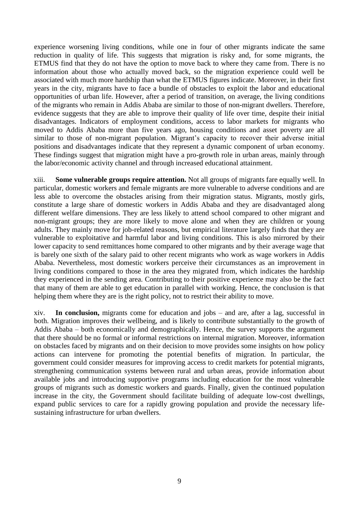experience worsening living conditions, while one in four of other migrants indicate the same reduction in quality of life. This suggests that migration is risky and, for some migrants, the ETMUS find that they do not have the option to move back to where they came from. There is no information about those who actually moved back, so the migration experience could well be associated with much more hardship than what the ETMUS figures indicate. Moreover, in their first years in the city, migrants have to face a bundle of obstacles to exploit the labor and educational opportunities of urban life. However, after a period of transition, on average, the living conditions of the migrants who remain in Addis Ababa are similar to those of non-migrant dwellers. Therefore, evidence suggests that they are able to improve their quality of life over time, despite their initial disadvantages. Indicators of employment conditions, access to labor markets for migrants who moved to Addis Ababa more than five years ago, housing conditions and asset poverty are all similar to those of non-migrant population. Migrant's capacity to recover their adverse initial positions and disadvantages indicate that they represent a dynamic component of urban economy. These findings suggest that migration might have a pro-growth role in urban areas, mainly through the labor/economic activity channel and through increased educational attainment.

xiii. **Some vulnerable groups require attention.** Not all groups of migrants fare equally well. In particular, domestic workers and female migrants are more vulnerable to adverse conditions and are less able to overcome the obstacles arising from their migration status. Migrants, mostly girls, constitute a large share of domestic workers in Addis Ababa and they are disadvantaged along different welfare dimensions. They are less likely to attend school compared to other migrant and non-migrant groups; they are more likely to move alone and when they are children or young adults. They mainly move for job-related reasons, but empirical literature largely finds that they are vulnerable to exploitative and harmful labor and living conditions. This is also mirrored by their lower capacity to send remittances home compared to other migrants and by their average wage that is barely one sixth of the salary paid to other recent migrants who work as wage workers in Addis Ababa. Nevertheless, most domestic workers perceive their circumstances as an improvement in living conditions compared to those in the area they migrated from, which indicates the hardship they experienced in the sending area. Contributing to their positive experience may also be the fact that many of them are able to get education in parallel with working. Hence, the conclusion is that helping them where they are is the right policy, not to restrict their ability to move.

xiv. **In conclusion,** migrants come for education and jobs – and are, after a lag, successful in both. Migration improves their wellbeing, and is likely to contribute substantially to the growth of Addis Ababa – both economically and demographically. Hence, the survey supports the argument that there should be no formal or informal restrictions on internal migration. Moreover, information on obstacles faced by migrants and on their decision to move provides some insights on how policy actions can intervene for promoting the potential benefits of migration. In particular, the government could consider measures for improving access to credit markets for potential migrants, strengthening communication systems between rural and urban areas, provide information about available jobs and introducing supportive programs including education for the most vulnerable groups of migrants such as domestic workers and guards. Finally, given the continued population increase in the city, the Government should facilitate building of adequate low-cost dwellings, expand public services to care for a rapidly growing population and provide the necessary lifesustaining infrastructure for urban dwellers.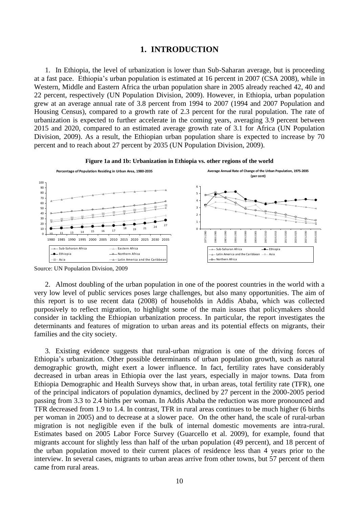#### **1. INTRODUCTION**

<span id="page-9-0"></span>1. In Ethiopia, the level of urbanization is lower than Sub-Saharan average, but is proceeding at a fast pace. Ethiopia's urban population is estimated at 16 percent in 2007 (CSA 2008), while in Western, Middle and Eastern Africa the urban population share in 2005 already reached 42, 40 and 22 percent, respectively (UN Population Division, 2009). However, in Ethiopia, urban population grew at an average annual rate of 3.8 percent from 1994 to 2007 (1994 and 2007 Population and Housing Census), compared to a growth rate of 2.3 percent for the rural population. The rate of urbanization is expected to further accelerate in the coming years, averaging 3.9 percent between 2015 and 2020, compared to an estimated average growth rate of 3.1 for Africa (UN Population Division, 2009). As a result, the Ethiopian urban population share is expected to increase by 70 percent and to reach about 27 percent by 2035 (UN Population Division, 2009).

<span id="page-9-1"></span>

**Figure 1a and 1b: Urbanization in Ethiopia vs. other regions of the world**

2. Almost doubling of the urban population in one of the poorest countries in the world with a very low level of public services poses large challenges, but also many opportunities. The aim of this report is to use recent data (2008) of households in Addis Ababa, which was collected purposively to reflect migration, to highlight some of the main issues that policymakers should consider in tackling the Ethiopian urbanization process. In particular, the report investigates the determinants and features of migration to urban areas and its potential effects on migrants, their families and the city society.

3. Existing evidence suggests that rural-urban migration is one of the driving forces of Ethiopia's urbanization. Other possible determinants of urban population growth, such as natural demographic growth, might exert a lower influence. In fact, fertility rates have considerably decreased in urban areas in Ethiopia over the last years, especially in major towns. Data from Ethiopia Demographic and Health Surveys show that, in urban areas, total fertility rate (TFR), one of the principal indicators of population dynamics, declined by 27 percent in the 2000-2005 period passing from 3.3 to 2.4 births per woman. In Addis Ababa the reduction was more pronounced and TFR decreased from 1.9 to 1.4. In contrast, TFR in rural areas continues to be much higher (6 births per woman in 2005) and to decrease at a slower pace. On the other hand, the scale of rural-urban migration is not negligible even if the bulk of internal domestic movements are intra-rural. Estimates based on 2005 Labor Force Survey (Guarcello et al. 2009), for example, found that migrants account for slightly less than half of the urban population (49 percent), and 18 percent of the urban population moved to their current places of residence less than 4 years prior to the interview. In several cases, migrants to urban areas arrive from other towns, but 57 percent of them came from rural areas.

Source: UN Population Division, 2009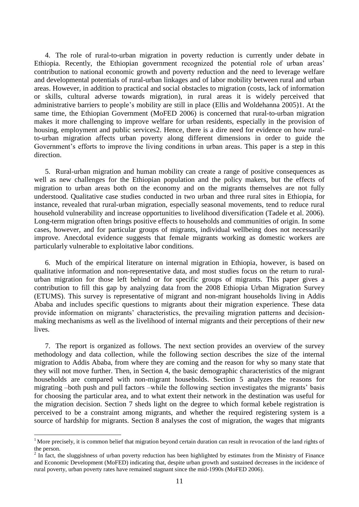4. The role of rural-to-urban migration in poverty reduction is currently under debate in Ethiopia. Recently, the Ethiopian government recognized the potential role of urban areas' contribution to national economic growth and poverty reduction and the need to leverage welfare and developmental potentials of rural-urban linkages and of labor mobility between rural and urban areas. However, in addition to practical and social obstacles to migration (costs, lack of information or skills, cultural adverse towards migration), in rural areas it is widely perceived that administrative barriers to people's mobility are still in place (Ellis and Woldehanna 2005)1. At the same time, the Ethiopian Government (MoFED 2006) is concerned that rural-to-urban migration makes it more challenging to improve welfare for urban residents, especially in the provision of housing, employment and public services2. Hence, there is a dire need for evidence on how ruralto-urban migration affects urban poverty along different dimensions in order to guide the Government's efforts to improve the living conditions in urban areas. This paper is a step in this direction.

5. Rural-urban migration and human mobility can create a range of positive consequences as well as new challenges for the Ethiopian population and the policy makers, but the effects of migration to urban areas both on the economy and on the migrants themselves are not fully understood. Qualitative case studies conducted in two urban and three rural sites in Ethiopia, for instance, revealed that rural-urban migration, especially seasonal movements, tend to reduce rural household vulnerability and increase opportunities to livelihood diversification (Tadele et al. 2006). Long-term migration often brings positive effects to households and communities of origin. In some cases, however, and for particular groups of migrants, individual wellbeing does not necessarily improve. Anecdotal evidence suggests that female migrants working as domestic workers are particularly vulnerable to exploitative labor conditions.

6. Much of the empirical literature on internal migration in Ethiopia, however, is based on qualitative information and non-representative data, and most studies focus on the return to ruralurban migration for those left behind or for specific groups of migrants. This paper gives a contribution to fill this gap by analyzing data from the 2008 Ethiopia Urban Migration Survey (ETUMS). This survey is representative of migrant and non-migrant households living in Addis Ababa and includes specific questions to migrants about their migration experience. These data provide information on migrants' characteristics, the prevailing migration patterns and decisionmaking mechanisms as well as the livelihood of internal migrants and their perceptions of their new lives.

7. The report is organized as follows. The next section provides an overview of the survey methodology and data collection, while the following section describes the size of the internal migration to Addis Ababa, from where they are coming and the reason for why so many state that they will not move further. Then, in Section 4, the basic demographic characteristics of the migrant households are compared with non-migrant households. Section 5 analyzes the reasons for migrating –both push and pull factors –while the following section investigates the migrants' basis for choosing the particular area, and to what extent their network in the destination was useful for the migration decision. Section 7 sheds light on the degree to which formal kebele registration is perceived to be a constraint among migrants, and whether the required registering system is a source of hardship for migrants. Section 8 analyses the cost of migration, the wages that migrants

1

<sup>&</sup>lt;sup>1</sup> More precisely, it is common belief that migration beyond certain duration can result in revocation of the land rights of the person.

<sup>2</sup> In fact, the sluggishness of urban poverty reduction has been highlighted by estimates from the Ministry of Finance and Economic Development (MoFED) indicating that, despite urban growth and sustained decreases in the incidence of rural poverty, urban poverty rates have remained stagnant since the mid-1990s (MoFED 2006).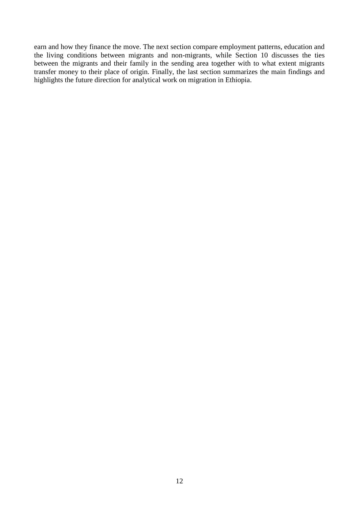earn and how they finance the move. The next section compare employment patterns, education and the living conditions between migrants and non-migrants, while Section 10 discusses the ties between the migrants and their family in the sending area together with to what extent migrants transfer money to their place of origin. Finally, the last section summarizes the main findings and highlights the future direction for analytical work on migration in Ethiopia.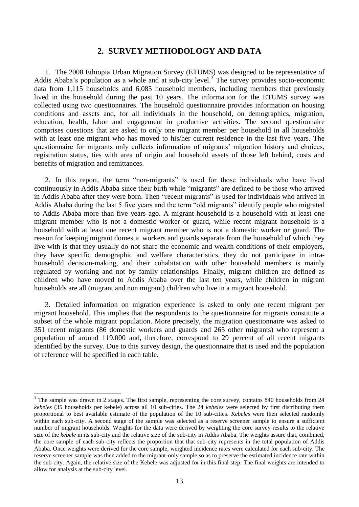### **2. SURVEY METHODOLOGY AND DATA**

<span id="page-12-0"></span>1. The 2008 Ethiopia Urban Migration Survey (ETUMS) was designed to be representative of Addis Ababa's population as a whole and at sub-city level.<sup>3</sup> The survey provides socio-economic data from 1,115 households and 6,085 household members, including members that previously lived in the household during the past 10 years. The information for the ETUMS survey was collected using two questionnaires. The household questionnaire provides information on housing conditions and assets and, for all individuals in the household, on demographics, migration, education, health, labor and engagement in productive activities. The second questionnaire comprises questions that are asked to only one migrant member per household in all households with at least one migrant who has moved to his/her current residence in the last five years. The questionnaire for migrants only collects information of migrants' migration history and choices, registration status, ties with area of origin and household assets of those left behind, costs and benefits of migration and remittances.

2. In this report, the term "non-migrants" is used for those individuals who have lived continuously in Addis Ababa since their birth while "migrants" are defined to be those who arrived in Addis Ababa after they were born. Then "recent migrants" is used for individuals who arrived in Addis Ababa during the last 5 five years and the term "old migrants" identify people who migrated to Addis Ababa more than five years ago. A migrant household is a household with at least one migrant member who is not a domestic worker or guard, while recent migrant household is a household with at least one recent migrant member who is not a domestic worker or guard. The reason for keeping migrant domestic workers and guards separate from the household of which they live with is that they usually do not share the economic and wealth conditions of their employers, they have specific demographic and welfare characteristics, they do not participate in intrahousehold decision-making, and their cohabitation with other household members is mainly regulated by working and not by family relationships. Finally, migrant children are defined as children who have moved to Addis Ababa over the last ten years, while children in migrant households are all (migrant and non migrant) children who live in a migrant household.

3. Detailed information on migration experience is asked to only one recent migrant per migrant household. This implies that the respondents to the questionnaire for migrants constitute a subset of the whole migrant population. More precisely, the migration questionnaire was asked to 351 recent migrants (86 domestic workers and guards and 265 other migrants) who represent a population of around 119,000 and, therefore, correspond to 29 percent of all recent migrants identified by the survey. Due to this survey design, the questionnaire that is used and the population of reference will be specified in each table.

1

<sup>&</sup>lt;sup>3</sup> The sample was drawn in 2 stages. The first sample, representing the core survey, contains 840 households from 24 *kebeles* (35 households per kebele) across all 10 sub-cities. The 24 *kebeles* were selected by first distributing them proportional to best available estimate of the population of the 10 sub-cities. *Kebeles* were then selected randomly within each sub-city. A second stage of the sample was selected as a reserve screener sample to ensure a sufficient number of migrant households. Weights for the data were derived by weighting the core survey results to the relative size of the *kebele* in its sub-city and the relative size of the sub-city in Addis Ababa. The weights assure that, combined, the core sample of each sub-city reflects the proportion that that sub-city represents in the total population of Addis Ababa. Once weights were derived for the core sample, weighted incidence rates were calculated for each sub-city. The reserve screener sample was then added to the migrant-only sample so as to preserve the estimated incidence rate within the sub-city. Again, the relative size of the Kebele was adjusted for in this final step. The final weights are intended to allow for analysis at the sub-city level.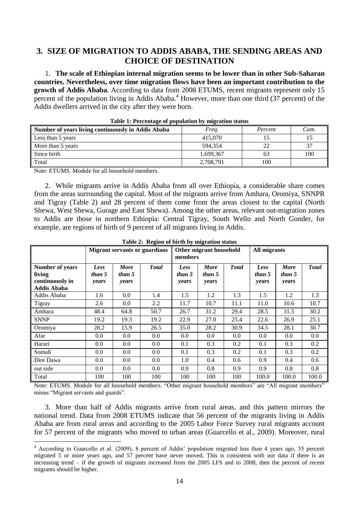# <span id="page-13-0"></span>**3. SIZE OF MIGRATION TO ADDIS ABABA, THE SENDING AREAS AND CHOICE OF DESTINATION**

1. **The scale of Ethiopian internal migration seems to be lower than in other Sub-Saharan countries. Nevertheless, over time migration flows have been an important contribution to the growth of Addis Ababa**. According to data from 2008 ETUMS, recent migrants represent only 15 percent of the population living in Addis Ababa.<sup>4</sup> However, more than one third (37 percent) of the Addis dwellers arrived in the city after they were born.

<span id="page-13-1"></span>

| Number of years living continuously in Addis Ababa | Freg.     | Percent | Cum. |
|----------------------------------------------------|-----------|---------|------|
| Less than 5 years                                  | 415,070   |         |      |
| More than 5 years                                  | 594.354   |         | 37   |
| Since birth                                        | 1,699,367 | 63      | 100  |
| Total                                              | 2,708,791 | 100     |      |

| Table 1: Percentage of population by migration status |  |  |  |
|-------------------------------------------------------|--|--|--|
|-------------------------------------------------------|--|--|--|

Note: ETUMS. Module for all household members.

1

2. While migrants arrive in Addis Ababa from all over Ethiopia, a considerable share comes from the areas surrounding the capital. Most of the migrants arrive from Amhara, Oromiya, SNNPR and Tigray (Table 2) and 28 percent of them come from the areas closest to the capital (North Shewa, West Shewa, Gurage and East Shewa). Among the other areas, relevant out-migration zones to Addis are those in northern Ethiopia: Central Tigray, South Wello and North Gonder, for example, are regions of birth of 9 percent of all migrants living in Addis.

<span id="page-13-2"></span>

|                                                                           | <b>Migrant servants or guardians</b> |                                |              | Other migrant household<br>members |                                |               | <b>All migrants</b>     |                                |              |
|---------------------------------------------------------------------------|--------------------------------------|--------------------------------|--------------|------------------------------------|--------------------------------|---------------|-------------------------|--------------------------------|--------------|
| <b>Number of years</b><br>living<br>continuously in<br><b>Addis Ababa</b> | Less<br>than 5<br>years              | <b>More</b><br>than 5<br>years | <b>Total</b> | Less<br>than 5<br>years            | <b>More</b><br>than 5<br>years | <b>T</b> otal | Less<br>than 5<br>years | <b>More</b><br>than 5<br>years | <b>Total</b> |
| Addis Ababa                                                               | 1.6                                  | 0.0                            | 1.4          | 1.5                                | 1.2                            | 1.3           | 1.5                     | 1.2                            | 1.3          |
| Tigray                                                                    | 2.6                                  | 0.0                            | 2.2          | 11.7                               | 10.7                           | 11.1          | 11.0                    | 10.6                           | 10.7         |
| Amhara                                                                    | 48.4                                 | 64.8                           | 50.7         | 26.7                               | 31.2                           | 29.4          | 28.5                    | 31.5                           | 30.2         |
| <b>SNNP</b>                                                               | 19.2                                 | 19.3                           | 19.2         | 22.9                               | 27.0                           | 25.4          | 22.6                    | 26.9                           | 25.1         |
| Oromiya                                                                   | 28.2                                 | 15.9                           | 26.5         | 35.0                               | 28.2                           | 30.9          | 34.5                    | 28.1                           | 30.7         |
| Afar                                                                      | $0.0\,$                              | 0.0                            | 0.0          | 0.0                                | 0.0                            | 0.0           | 0.0                     | 0.0                            | 0.0          |
| Harari                                                                    | 0.0                                  | 0.0                            | 0.0          | 0.1                                | 0.3                            | 0.2           | 0.1                     | 0.3                            | 0.2          |
| Somali                                                                    | $0.0\,$                              | $0.0\,$                        | 0.0          | 0.1                                | 0.3                            | 0.2           | 0.1                     | 0.3                            | 0.2          |
| Dire Dawa                                                                 | $0.0\,$                              | 0.0                            | 0.0          | 1.0                                | 0.4                            | 0.6           | 0.9                     | 0.4                            | 0.6          |
| out side                                                                  | $0.0\,$                              | 0.0                            | 0.0          | 0.9                                | 0.8                            | 0.9           | 0.9                     | 0.8                            | 0.8          |
| Total                                                                     | 100                                  | 100                            | 100          | 100                                | 100                            | 100           | 100.0                   | 100.0                          | 100.0        |

**Table 2: Region of birth by migration status**

Note: ETUMS. Module for all household members. "Other migrant household members" are "All migrant members" minus "Migrant servants and guards".

3. More than half of Addis migrants arrive from rural areas, and this pattern mirrors the national trend. Data from 2008 ETUMS indicate that 56 percent of the migrants living in Addis Ababa are from rural areas and according to the 2005 Labor Force Survey rural migrants account for 57 percent of the migrants who moved to urban areas (Guarcello et al., 2009). Moreover, rural

<sup>&</sup>lt;sup>4</sup> According to Guarcello et al. (2009), 8 percent of Addis' population migrated less than 4 years ago, 35 percent migrated 5 or more years ago, and 57 percent have never moved. This is consistent with our data if there is an increasing trend – if the growth of migrants increased from the 2005 LFS and to 2008, then the percent of recent migrants should be higher.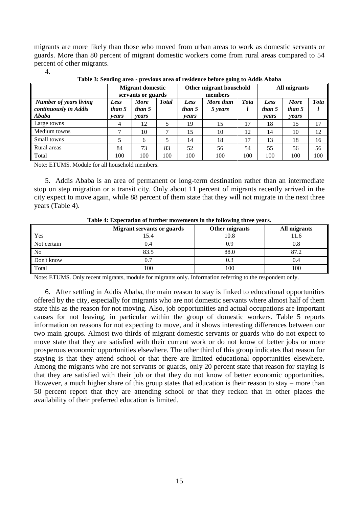migrants are more likely than those who moved from urban areas to work as domestic servants or guards. More than 80 percent of migrant domestic workers come from rural areas compared to 54 percent of other migrants.

4.

<span id="page-14-0"></span>

|                                                          | <b>Migrant domestic</b><br>servants or guards |                                |              | Other migrant household<br>members |                      |             | All migrants            |                                |             |
|----------------------------------------------------------|-----------------------------------------------|--------------------------------|--------------|------------------------------------|----------------------|-------------|-------------------------|--------------------------------|-------------|
| Number of years living<br>continuously in Addis<br>Ababa | Less<br>than 5<br>vears                       | <b>More</b><br>than 5<br>years | <b>Total</b> | Less<br>than 5<br><i>vears</i>     | More than<br>5 years | <b>Tota</b> | Less<br>than 5<br>years | <b>More</b><br>than 5<br>vears | <b>Tota</b> |
| Large towns                                              | 4                                             | 12                             |              | 19                                 | 15                   | 17          | 18                      | 15                             | 17          |
| Medium towns                                             |                                               | 10                             |              | 15                                 | 10                   | 12          | 14                      | 10                             | 12          |
| Small towns                                              |                                               | 6                              |              | 14                                 | 18                   | 17          | 13                      | 18                             | 16          |
| Rural areas                                              | 84                                            | 73                             | 83           | 52                                 | 56                   | 54          | 55                      | 56                             | 56          |
| Total                                                    | 100                                           | 100                            | 100          | 100                                | 100                  | 100         | 100                     | 100                            | 100         |

**Table 3: Sending area - previous area of residence before going to Addis Ababa**

Note: ETUMS. Module for all household members.

5. Addis Ababa is an area of permanent or long-term destination rather than an intermediate stop on step migration or a transit city. Only about 11 percent of migrants recently arrived in the city expect to move again, while 88 percent of them state that they will not migrate in the next three years (Table 4).

<span id="page-14-1"></span>

|                | <b>Migrant servants or guards</b> | Other migrants | All migrants |
|----------------|-----------------------------------|----------------|--------------|
| Yes            |                                   | 10.8           | 11.6         |
| Not certain    |                                   | 0.9            | 0.8          |
| N <sub>0</sub> | 83.5                              | 88.0           | 87.2         |
| Don't know     |                                   | 0.3            | 0.4          |
| Total          | 100                               | 100            | 100          |

**Table 4: Expectation of further movements in the following three years***.*

Note: ETUMS. Only recent migrants, module for migrants only. Information referring to the respondent only.

6. After settling in Addis Ababa, the main reason to stay is linked to educational opportunities offered by the city, especially for migrants who are not domestic servants where almost half of them state this as the reason for not moving. Also, job opportunities and actual occupations are important causes for not leaving, in particular within the group of domestic workers. Table 5 reports information on reasons for not expecting to move, and it shows interesting differences between our two main groups. Almost two thirds of migrant domestic servants or guards who do not expect to move state that they are satisfied with their current work or do not know of better jobs or more prosperous economic opportunities elsewhere. The other third of this group indicates that reason for staying is that they attend school or that there are limited educational opportunities elsewhere. Among the migrants who are not servants or guards, only 20 percent state that reason for staying is that they are satisfied with their job or that they do not know of better economic opportunities. However, a much higher share of this group states that education is their reason to stay – more than 50 percent report that they are attending school or that they reckon that in other places the availability of their preferred education is limited.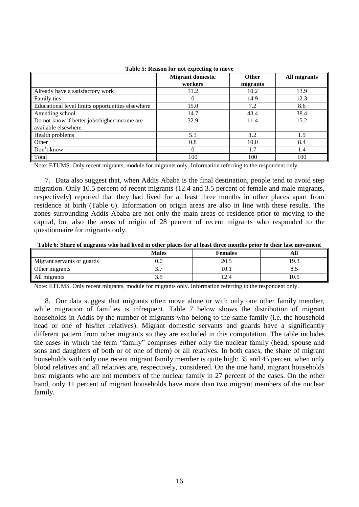<span id="page-15-0"></span>

|                                                  | <b>Migrant domestic</b><br>workers | <b>Other</b><br>migrants | All migrants |
|--------------------------------------------------|------------------------------------|--------------------------|--------------|
| Already have a satisfactory work                 | 31.2                               | 10.2                     | 13.9         |
| Family ties                                      | 0                                  | 14.9                     | 12.3         |
| Educational level limits opportunities elsewhere | 15.0                               | 7.2                      | 8.6          |
| Attending school                                 | 14.7                               | 43.4                     | 38.4         |
| Do not know if better jobs/higher income are     | 32.9                               | 11.4                     | 15.2         |
| available elsewhere                              |                                    |                          |              |
| Health problems                                  | 5.3                                | 1.2                      | 1.9          |
| Other                                            | 0.8                                | 10.0                     | 8.4          |
| Don't know                                       | $\Omega$                           | 1.7                      | 1.4          |
| Total                                            | 100                                | 100                      | 100          |

#### **Table 5: Reason for not expecting to move**

Note: ETUMS. Only recent migrants, module for migrants only. Information referring to the respondent only

7. Data also suggest that, when Addis Ababa is the final destination, people tend to avoid step migration. Only 10.5 percent of recent migrants (12.4 and 3.5 percent of female and male migrants, respectively) reported that they had lived for at least three months in other places apart from residence at birth (Table 6). Information on origin areas are also in line with these results. The zones surrounding Addis Ababa are not only the main areas of residence prior to moving to the capital, but also the areas of origin of 28 percent of recent migrants who responded to the questionnaire for migrants only.

<span id="page-15-1"></span>**Table 6: Share of migrants who had lived in other places for at least three months prior to their last movement**

|                            | <b>Males</b> | <b>Females</b> |                |
|----------------------------|--------------|----------------|----------------|
| Migrant servants or guards | IJ.U         | 20.5           | 19.3           |
| Other migrants             | ، ب          | 10.1           | $\mathbf{O}$ . |
| All migrants               | ر. ر         | ⊥∠.−           | 10.5           |

Note: ETUMS. Only recent migrants, module for migrants only. Information referring to the respondent only.

8. Our data suggest that migrants often move alone or with only one other family member, while migration of families is infrequent. Table 7 below shows the distribution of migrant households in Addis by the number of migrants who belong to the same family (i.e. the household head or one of his/her relatives). Migrant domestic servants and guards have a significantly different pattern from other migrants so they are excluded in this computation. The table includes the cases in which the term "family" comprises either only the nuclear family (head, spouse and sons and daughters of both or of one of them) or all relatives. In both cases, the share of migrant households with only one recent migrant family member is quite high: 35 and 45 percent when only blood relatives and all relatives are, respectively, considered. On the one hand, migrant households host migrants who are not members of the nuclear family in 27 percent of the cases. On the other hand, only 11 percent of migrant households have more than two migrant members of the nuclear family.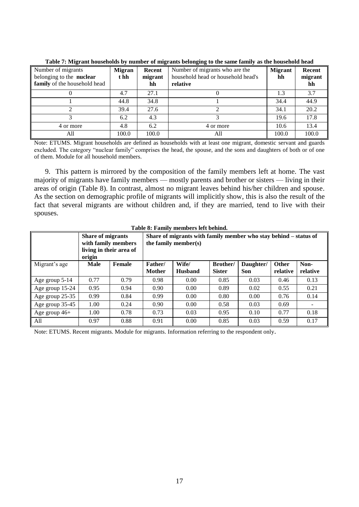<span id="page-16-0"></span>

|                                                                                | Tubic 77 migrant households by number of migrants befonging to the sume funnty as the household head |                         |                                                                                  |                      |                         |  |  |  |  |  |  |  |  |
|--------------------------------------------------------------------------------|------------------------------------------------------------------------------------------------------|-------------------------|----------------------------------------------------------------------------------|----------------------|-------------------------|--|--|--|--|--|--|--|--|
| Number of migrants<br>belonging to the nuclear<br>family of the household head | <b>Migran</b><br>t hh                                                                                | Recent<br>migrant<br>hh | Number of migrants who are the<br>household head or household head's<br>relative | <b>Migrant</b><br>hh | Recent<br>migrant<br>hh |  |  |  |  |  |  |  |  |
|                                                                                | 4.7                                                                                                  | 27.1                    |                                                                                  |                      | 3.7                     |  |  |  |  |  |  |  |  |
|                                                                                | 44.8                                                                                                 | 34.8                    |                                                                                  | 34.4                 | 44.9                    |  |  |  |  |  |  |  |  |
|                                                                                | 39.4                                                                                                 | 27.6                    |                                                                                  | 34.1                 | 20.2                    |  |  |  |  |  |  |  |  |
|                                                                                | 6.2                                                                                                  | 4.3                     |                                                                                  | 19.6                 | 17.8                    |  |  |  |  |  |  |  |  |
| 4 or more                                                                      | 4.8                                                                                                  | 6.2                     | 4 or more                                                                        | 10.6                 | 13.4                    |  |  |  |  |  |  |  |  |
| All                                                                            | 100.0                                                                                                | 100.0                   | All                                                                              | 100.0                | 100.0                   |  |  |  |  |  |  |  |  |

**Table 7: Migrant households by number of migrants belonging to the same family as the household head**

Note: ETUMS. Migrant households are defined as households with at least one migrant, domestic servant and guards excluded. The category "nuclear family" comprises the head, the spouse, and the sons and daughters of both or of one of them. Module for all household members.

9. This pattern is mirrored by the composition of the family members left at home. The vast majority of migrants have family members — mostly parents and brother or sisters — living in their areas of origin (Table 8). In contrast, almost no migrant leaves behind his/her children and spouse. As the section on demographic profile of migrants will implicitly show, this is also the result of the fact that several migrants are without children and, if they are married, tend to live with their spouses.

<span id="page-16-1"></span>

|                 | <b>Share of migrants</b><br>origin | with family members<br>living in their area of | Share of migrants with family member who stay behind – status of<br>the family member(s) |                         |                           |                         |                   |                  |  |  |  |  |
|-----------------|------------------------------------|------------------------------------------------|------------------------------------------------------------------------------------------|-------------------------|---------------------------|-------------------------|-------------------|------------------|--|--|--|--|
| Migrant's age   | Male                               | Female                                         | Father/<br><b>Mother</b>                                                                 | Wife/<br><b>Husband</b> | Brother/<br><b>Sister</b> | Daughter/<br><b>Son</b> | Other<br>relative | Non-<br>relative |  |  |  |  |
| Age group 5-14  | 0.77                               | 0.79                                           | 0.98                                                                                     | 0.00                    | 0.85                      | 0.03                    | 0.46              | 0.13             |  |  |  |  |
| Age group 15-24 | 0.95                               | 0.94                                           | 0.90                                                                                     | 0.00                    | 0.89                      | 0.02                    | 0.55              | 0.21             |  |  |  |  |
| Age group 25-35 | 0.99                               | 0.84                                           | 0.99                                                                                     | 0.00                    | 0.80                      | 0.00                    | 0.76              | 0.14             |  |  |  |  |
| Age group 35-45 | 1.00                               | 0.24                                           | 0.90                                                                                     | 0.00                    | 0.58                      | 0.03                    | 0.69              |                  |  |  |  |  |
| Age group 46+   | 1.00                               | 0.78                                           | 0.73                                                                                     | 0.03                    | 0.95                      | 0.10                    | 0.77              | 0.18             |  |  |  |  |
| All             | 0.97                               | 0.88                                           | 0.91                                                                                     | 0.00                    | 0.85                      | 0.03                    | 0.59              | 0.17             |  |  |  |  |

**Table 8: Family members left behind.**

Note: ETUMS. Recent migrants. Module for migrants. Information referring to the respondent only.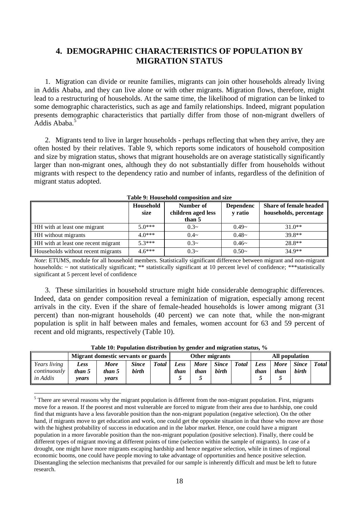# <span id="page-17-0"></span>**4. DEMOGRAPHIC CHARACTERISTICS OF POPULATION BY MIGRATION STATUS**

1. Migration can divide or reunite families, migrants can join other households already living in Addis Ababa, and they can live alone or with other migrants. Migration flows, therefore, might lead to a restructuring of households. At the same time, the likelihood of migration can be linked to some demographic characteristics, such as age and family relationships. Indeed, migrant population presents demographic characteristics that partially differ from those of non-migrant dwellers of Addis Ababa.<sup>5</sup>

2. Migrants tend to live in larger households - perhaps reflecting that when they arrive, they are often hosted by their relatives. Table 9, which reports some indicators of household composition and size by migration status, shows that migrant households are on average statistically significantly larger than non-migrant ones, although they do not substantially differ from households without migrants with respect to the dependency ratio and number of infants, regardless of the definition of migrant status adopted.

<span id="page-17-1"></span>

|                                     | Household<br>size | Number of<br>children aged less<br>than 5 | <b>Dependenc</b><br>y ratio | <b>Share of female headed</b><br>households, percentage |
|-------------------------------------|-------------------|-------------------------------------------|-----------------------------|---------------------------------------------------------|
| HH with at least one migrant        | $5.0***$          | $0.3-$                                    | $0.49-$                     | $31.0**$                                                |
| HH without migrants                 | $4.0***$          | $0.4-$                                    | $0.48-$                     | 39.8**                                                  |
| HH with at least one recent migrant | $5.3***$          | $0.3-$                                    | $0.46-$                     | 28.8**                                                  |
| Households without recent migrants  | $4.6***$          | $0.3-$                                    | $0.50-$                     | $34.9**$                                                |

*Note*: ETUMS, module for all household members. Statistically significant difference between migrant and non-migrant households: ~ not statistically significant; \*\* statistically significant at 10 percent level of confidence; \*\*\*statistically significant at 5 percent level of confidence

3. These similarities in household structure might hide considerable demographic differences. Indeed, data on gender composition reveal a feminization of migration, especially among recent arrivals in the city. Even if the share of female-headed households is lower among migrant (31 percent) than non-migrant households (40 percent) we can note that, while the non-migrant population is split in half between males and females, women account for 63 and 59 percent of recent and old migrants, respectively (Table 10).

<span id="page-17-2"></span>

|                                          | <b>Migrant domestic servants or guards</b> |                         |                              | Other migrants |              |                     |                              | All population |              |                     |                              |       |
|------------------------------------------|--------------------------------------------|-------------------------|------------------------------|----------------|--------------|---------------------|------------------------------|----------------|--------------|---------------------|------------------------------|-------|
| Years living<br>continuously<br>in Addis | Less<br>than 5<br>vears                    | More<br>than 5<br>vears | <b>Since</b><br><b>birth</b> | <b>Total</b>   | Less<br>than | <b>More</b><br>than | <b>Since</b><br><b>birth</b> | <b>Total</b>   | Less<br>than | <b>More</b><br>than | <b>Since</b><br><b>birth</b> | Total |

1

**Table 10: Population distribution by gender and migration status, %**

 $<sup>5</sup>$  There are several reasons why the migrant population is different from the non-migrant population. First, migrants</sup> move for a reason. If the poorest and most vulnerable are forced to migrate from their area due to hardship, one could find that migrants have a less favorable position than the non-migrant population (negative selection). On the other hand, if migrants move to get education and work, one could get the opposite situation in that those who move are those with the highest probability of success in education and in the labor market. Hence, one could have a migrant population in a more favorable position than the non-migrant population (positive selection). Finally, there could be different types of migrant moving at different points of time (selection within the sample of migrants). In case of a drought, one might have more migrants escaping hardship and hence negative selection, while in times of regional economic booms, one could have people moving to take advantage of opportunities and hence positive selection. Disentangling the selection mechanisms that prevailed for our sample is inherently difficult and must be left to future research.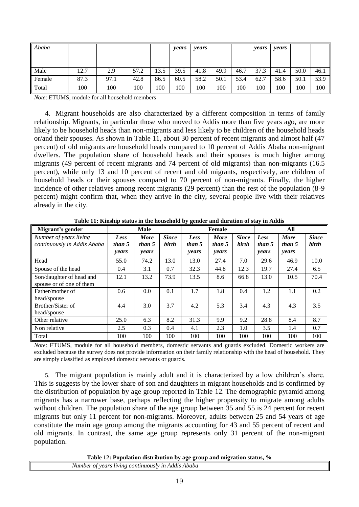| Ababa  |      |      |      |      | years | years |      |      | years | years |      |      |
|--------|------|------|------|------|-------|-------|------|------|-------|-------|------|------|
| Male   | 12.7 | 2.9  | 57.2 | 13.5 | 39.5  | 41.8  | 49.9 | 46.7 | 37.3  | 41.4  | 50.0 | 46.1 |
| Female | 87.3 | 97.1 | 42.8 | 86.5 | 60.5  | 58.2  | 50.1 | 53.4 | 62.7  | 58.6  | 50.1 | 53.9 |
| Total  | 100  | 100  | 100  | 100  | 100   | 100   | 100  | 100  | 100   | 100   | 100  | 100  |

*Note*: ETUMS, module for all household members

4. Migrant households are also characterized by a different composition in terms of family relationship. Migrants, in particular those who moved to Addis more than five years ago, are more likely to be household heads than non-migrants and less likely to be children of the household heads or/and their spouses. As shown in Table 11, about 30 percent of recent migrants and almost half (47 percent) of old migrants are household heads compared to 10 percent of Addis Ababa non-migrant dwellers. The population share of household heads and their spouses is much higher among migrants (49 percent of recent migrants and 74 percent of old migrants) than non-migrants (16.5 percent), while only 13 and 10 percent of recent and old migrants, respectively, are children of household heads or their spouses compared to 70 percent of non-migrants. Finally, the higher incidence of other relatives among recent migrants (29 percent) than the rest of the population (8-9 percent) might confirm that, when they arrive in the city, several people live with their relatives already in the city.

<span id="page-18-0"></span>

| Migrant's gender                                      |                         | <b>Male</b>                    |                       |                         | Female                         |                       |                         | All                            |                              |
|-------------------------------------------------------|-------------------------|--------------------------------|-----------------------|-------------------------|--------------------------------|-----------------------|-------------------------|--------------------------------|------------------------------|
| Number of years living<br>continuously in Addis Ababa | Less<br>than 5<br>years | <b>More</b><br>than 5<br>years | <b>Since</b><br>birth | Less<br>than 5<br>years | <b>More</b><br>than 5<br>years | <b>Since</b><br>birth | Less<br>than 5<br>years | <b>More</b><br>than 5<br>years | <b>Since</b><br><b>birth</b> |
| Head                                                  | 55.0                    | 74.2                           | 13.0                  | 13.0                    | 27.4                           | 7.0                   | 29.6                    | 46.9                           | 10.0                         |
| Spouse of the head                                    | 0.4                     | 3.1                            | 0.7                   | 32.3                    | 44.8                           | 12.3                  | 19.7                    | 27.4                           | 6.5                          |
| Son/daughter of head and<br>spouse or of one of them  | 12.1                    | 13.2                           | 73.9                  | 13.5                    | 8.6                            | 66.8                  | 13.0                    | 10.5                           | 70.4                         |
| Father/mother of<br>head/spouse                       | 0.6                     | 0.0                            | 0.1                   | 1.7                     | 1.8                            | 0.4                   | 1.2                     | 1.1                            | 0.2                          |
| Brother/Sister of<br>head/spouse                      | 4.4                     | 3.0                            | 3.7                   | 4.2                     | 5.3                            | 3.4                   | 4.3                     | 4.3                            | 3.5                          |
| Other relative                                        | 25.0                    | 6.3                            | 8.2                   | 31.3                    | 9.9                            | 9.2                   | 28.8                    | 8.4                            | 8.7                          |
| Non relative                                          | 2.5                     | 0.3                            | 0.4                   | 4.1                     | 2.3                            | 1.0                   | 3.5                     | 1.4                            | 0.7                          |
| Total                                                 | 100                     | 100                            | 100                   | 100                     | 100                            | 100                   | 100                     | 100                            | 100                          |

**Table 11: Kinship status in the household by gender and duration of stay in Addis**

*Note*: ETUMS, module for all household members, domestic servants and guards excluded. Domestic workers are excluded because the survey does not provide information on their family relationship with the head of household. They are simply classified as employed domestic servants or guards.

5. The migrant population is mainly adult and it is characterized by a low children's share. This is suggests by the lower share of son and daughters in migrant households and is confirmed by the distribution of population by age group reported in Table 12. The demographic pyramid among migrants has a narrower base, perhaps reflecting the higher propensity to migrate among adults without children. The population share of the age group between 35 and 55 is 24 percent for recent migrants but only 11 percent for non-migrants. Moreover, adults between 25 and 54 years of age constitute the main age group among the migrants accounting for 43 and 55 percent of recent and old migrants. In contrast, the same age group represents only 31 percent of the non-migrant population.

**Table 12: Population distribution by age group and migration status, %**

<span id="page-18-1"></span>

| ----<br>. .                                                                              |
|------------------------------------------------------------------------------------------|
| Number<br>Ababa<br>$\overline{d}$<br>vear.<br>uving<br>,,,,,,,,,,<br>stv<br>AAAL<br>- 71 |
|                                                                                          |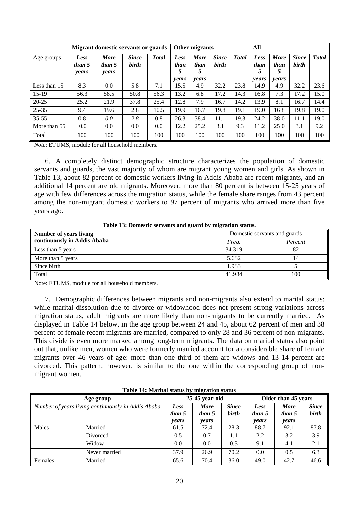|              |                         | <b>Migrant domestic servants or guards</b> |                       |               |                   | Other migrants           |                              |               | All               |                          |                       |              |
|--------------|-------------------------|--------------------------------------------|-----------------------|---------------|-------------------|--------------------------|------------------------------|---------------|-------------------|--------------------------|-----------------------|--------------|
| Age groups   | Less<br>than 5<br>years | <b>More</b><br>than 5<br>years             | <b>Since</b><br>birth | <b>T</b> otal | Less<br>than<br>5 | <b>More</b><br>than<br>5 | <b>Since</b><br><b>birth</b> | <b>T</b> otal | Less<br>than<br>5 | <b>More</b><br>than<br>5 | <b>Since</b><br>birth | <b>Total</b> |
| Less than 15 | 8.3                     | 0.0                                        | 5.8                   | 7.1           | years<br>15.5     | years<br>4.9             | 32.2                         | 23.8          | years<br>14.9     | <i>vears</i><br>4.9      | 32.2                  | 23.6         |
| $15-19$      | 56.3                    | 58.5                                       | 50.8                  | 56.3          | 13.2              | 6.8                      | 17.2                         | 14.3          | 16.8              | 7.3                      | 17.2                  | 15.0         |
| $20 - 25$    | 25.2                    | 21.9                                       | 37.8                  | 25.4          | 12.8              | 7.9                      | 16.7                         | 14.2          | 13.9              | 8.1                      | 16.7                  | 14.4         |
| $25 - 35$    | 9.4                     | 19.6                                       | 2.8                   | 10.5          | 19.9              | 16.7                     | 19.8                         | 19.1          | 19.0              | 16.8                     | 19.8                  | 19.0         |
| $35 - 55$    | 0.8                     | 0.0                                        | 2.8                   | 0.8           | 26.3              | 38.4                     | 11.1                         | 19.3          | 24.2              | 38.0                     | 11.1                  | 19.0         |
| More than 55 | 0.0                     | 0.0                                        | 0.0                   | 0.0           | 12.2              | 25.2                     | 3.1                          | 9.3           | 11.2              | 25.0                     | 3.1                   | 9.2          |
| Total        | 100                     | 100                                        | 100                   | 100           | 100               | 100                      | 100                          | 100           | 100               | 100                      | 100                   | 100          |

*Note*: ETUMS, module for all household members.

6. A completely distinct demographic structure characterizes the population of domestic servants and guards, the vast majority of whom are migrant young women and girls. As shown in Table 13, about 82 percent of domestic workers living in Addis Ababa are recent migrants, and an additional 14 percent are old migrants. Moreover, more than 80 percent is between 15-25 years of age with few differences across the migration status, while the female share ranges from 43 percent among the non-migrant domestic workers to 97 percent of migrants who arrived more than five years ago.

**Table 13: Domestic servants and guard by migration status.**

<span id="page-19-0"></span>

| <b>Number of years living</b> | Domestic servants and guards |         |  |  |  |
|-------------------------------|------------------------------|---------|--|--|--|
| continuously in Addis Ababa   | Freg.                        | Percent |  |  |  |
| Less than 5 years             | 34.319                       | 82      |  |  |  |
| More than 5 years             | 5.682                        | 14      |  |  |  |
| Since birth                   | 1.983                        |         |  |  |  |
| Total                         | 41.984                       | 100     |  |  |  |

Note: ETUMS, module for all household members.

7. Demographic differences between migrants and non-migrants also extend to marital status: while marital dissolution due to divorce or widowhood does not present strong variations across migration status, adult migrants are more likely than non-migrants to be currently married. As displayed in Table 14 below, in the age group between 24 and 45, about 62 percent of men and 38 percent of female recent migrants are married, compared to only 28 and 36 percent of non-migrants. This divide is even more marked among long-term migrants. The data on marital status also point out that, unlike men, women who were formerly married account for a considerable share of female migrants over 46 years of age: more than one third of them are widows and 13-14 percent are divorced. This pattern, however, is similar to the one within the corresponding group of nonmigrant women.

<span id="page-19-1"></span>

|         | Tuble 14, intuitium buttub by migration buttub     |                         |                                |                       |                                |                                |                       |  |  |  |  |  |  |
|---------|----------------------------------------------------|-------------------------|--------------------------------|-----------------------|--------------------------------|--------------------------------|-----------------------|--|--|--|--|--|--|
|         | Age group                                          |                         | 25-45 year-old                 |                       | Older than 45 years            |                                |                       |  |  |  |  |  |  |
|         | Number of years living continuously in Addis Ababa | Less<br>than 5<br>vears | <b>More</b><br>than 5<br>years | <b>Since</b><br>birth | Less<br>than 5<br><i>vears</i> | <b>More</b><br>than 5<br>years | <b>Since</b><br>birth |  |  |  |  |  |  |
| Males   | Married                                            | 61.5                    | 72.4                           | 28.3                  | 88.7                           | 92.1                           | 87.8                  |  |  |  |  |  |  |
|         | Divorced                                           | 0.5                     | 0.7                            | 1.1                   | 2.2                            | 3.2                            | 3.9                   |  |  |  |  |  |  |
|         | Widow                                              | 0.0                     | 0.0                            | 0.3                   | 9.1                            | 4.1                            | 2.1                   |  |  |  |  |  |  |
|         | Never married                                      | 37.9                    | 26.9                           | 70.2                  | 0.0                            | 0.5                            | 6.3                   |  |  |  |  |  |  |
| Females | Married                                            | 65.6                    | 70.4                           | 36.0                  | 49.0                           | 42.7                           | 46.6                  |  |  |  |  |  |  |

#### **Table 14: Marital status by migration status**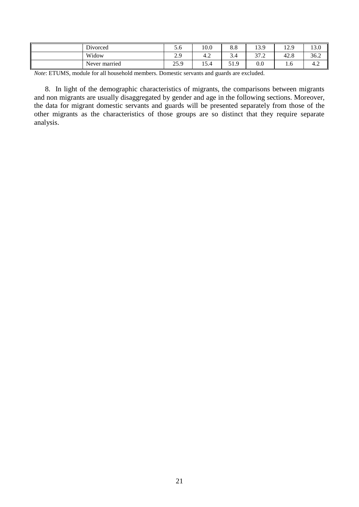| Divorced      | J.O            | 10.0               | o o<br>0.0 | 13.9          | 12Q<br>14.J | 13.0          |
|---------------|----------------|--------------------|------------|---------------|-------------|---------------|
| Widow         | າ ດ<br>ر،،     | 4.4                | J.4        | 27.2<br>ے ، ر | 42.8        | 36.2          |
| Never married | 250<br>ر ول کے | $\epsilon$<br>10.4 | 51.9       | $_{0.0}$      | 1.0         | $\sim$<br>4.2 |

*Note*: ETUMS, module for all household members. Domestic servants and guards are excluded.

8. In light of the demographic characteristics of migrants, the comparisons between migrants and non migrants are usually disaggregated by gender and age in the following sections. Moreover, the data for migrant domestic servants and guards will be presented separately from those of the other migrants as the characteristics of those groups are so distinct that they require separate analysis.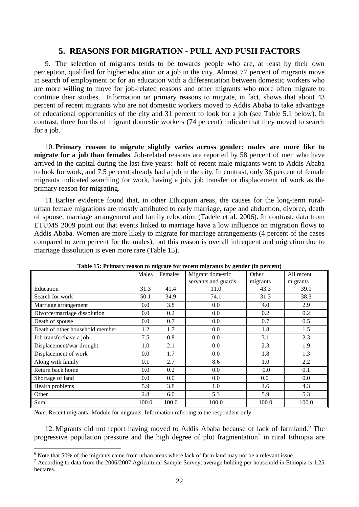### **5. REASONS FOR MIGRATION - PULL AND PUSH FACTORS**

<span id="page-21-0"></span>9. The selection of migrants tends to be towards people who are, at least by their own perception, qualified for higher education or a job in the city. Almost 77 percent of migrants move in search of employment or for an education with a differentiation between domestic workers who are more willing to move for job-related reasons and other migrants who more often migrate to continue their studies. Information on primary reasons to migrate, in fact, shows that about 43 percent of recent migrants who are not domestic workers moved to Addis Ababa to take advantage of educational opportunities of the city and 31 percent to look for a job (see Table 5.1 below). In contrast, three fourths of migrant domestic workers (74 percent) indicate that they moved to search for a job.

10. **Primary reason to migrate slightly varies across gender: males are more like to migrate for a job than females**. Job-related reasons are reported by 58 percent of men who have arrived in the capital during the last five years: half of recent male migrants went to Addis Ababa to look for work, and 7.5 percent already had a job in the city. In contrast, only 36 percent of female migrants indicated searching for work, having a job, job transfer or displacement of work as the primary reason for migrating.

11. Earlier evidence found that, in other Ethiopian areas, the causes for the long-term ruralurban female migrations are mostly attributed to early marriage, rape and abduction, divorce, death of spouse, marriage arrangement and family relocation (Tadele et al. 2006). In contrast, data from ETUMS 2009 point out that events linked to marriage have a low influence on migration flows to Addis Ababa. Women are more likely to migrate for marriage arrangements (4 percent of the cases compared to zero percent for the males), but this reason is overall infrequent and migration due to marriage dissolution is even more rare (Table 15).

<span id="page-21-1"></span>

| ------ <i>-</i> - - ---         |       |         |                     | $\left( -1 \right)$ $\left( -1 \right)$ |            |
|---------------------------------|-------|---------|---------------------|-----------------------------------------|------------|
|                                 | Males | Females | Migrant domestic    | Other                                   | All recent |
|                                 |       |         | servants and guards | migrants                                | migrants   |
| Education                       | 31.3  | 41.4    | 11.0                | 43.3                                    | 39.1       |
| Search for work                 | 50.1  | 34.9    | 74.1                | 31.3                                    | 38.3       |
| Marriage arrangement            | 0.0   | 3.8     | 0.0                 | 4.0                                     | 2.9        |
| Divorce/marriage dissolution    | 0.0   | 0.2     | 0.0                 | 0.2                                     | 0.2        |
| Death of spouse                 | 0.0   | 0.7     | 0.0                 | 0.7                                     | 0.5        |
| Death of other household member | 1.2   | 1.7     | 0.0                 | 1.8                                     | 1.5        |
| Job transfer/have a job         | 7.5   | 0.8     | 0.0                 | 3.1                                     | 2.3        |
| Displacement/war drought        | 1.0   | 2.1     | 0.0                 | 2.3                                     | 1.9        |
| Displacement of work            | 0.0   | 1.7     | 0.0                 | 1.8                                     | 1.3        |
| Along with family               | 0.1   | 2.7     | 8.6                 | 1.0                                     | 2.2        |
| Return back home                | 0.0   | 0.2     | 0.0                 | 0.0                                     | 0.1        |
| Shortage of land                | 0.0   | $0.0\,$ | 0.0                 | 0.0                                     | 0.0        |
| Health problems                 | 5.9   | 3.8     | 1.0                 | 4.6                                     | 4.3        |
| Other                           | 2.8   | 6.0     | 5.3                 | 5.9                                     | 5.3        |
| Sum                             | 100.0 | 100.0   | 100.0               | 100.0                                   | 100.0      |

**Table 15: Primary reason to migrate for recent migrants by gender (in percent)**

*Note*: Recent migrants. Module for migrants. Information referring to the respondent only.

<u>.</u>

12. Migrants did not report having moved to Addis Ababa because of lack of farmland.<sup>6</sup> The progressive population pressure and the high degree of plot fragmentation<sup>7</sup> in rural Ethiopia are

<sup>&</sup>lt;sup>6</sup> Note that 50% of the migrants came from urban areas where lack of farm land may not be a relevant issue.

<sup>&</sup>lt;sup>7</sup> According to data from the 2006/2007 Agricultural Sample Survey, average holding per household in Ethiopia is 1.25 hectares.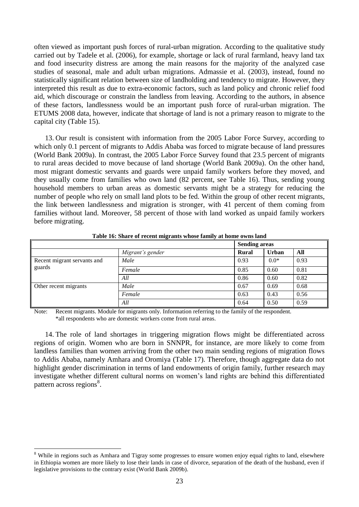often viewed as important push forces of rural-urban migration. According to the qualitative study carried out by Tadele et al. (2006), for example, shortage or lack of rural farmland, heavy land tax and food insecurity distress are among the main reasons for the majority of the analyzed case studies of seasonal, male and adult urban migrations. Admassie et al. (2003), instead, found no statistically significant relation between size of landholding and tendency to migrate. However, they interpreted this result as due to extra-economic factors, such as land policy and chronic relief food aid, which discourage or constrain the landless from leaving. According to the authors, in absence of these factors, landlessness would be an important push force of rural-urban migration. The ETUMS 2008 data, however, indicate that shortage of land is not a primary reason to migrate to the capital city (Table 15).

13. Our result is consistent with information from the 2005 Labor Force Survey, according to which only 0.1 percent of migrants to Addis Ababa was forced to migrate because of land pressures (World Bank 2009a). In contrast, the 2005 Labor Force Survey found that 23.5 percent of migrants to rural areas decided to move because of land shortage (World Bank 2009a). On the other hand, most migrant domestic servants and guards were unpaid family workers before they moved, and they usually come from families who own land (82 percent, see Table 16). Thus, sending young household members to urban areas as domestic servants might be a strategy for reducing the number of people who rely on small land plots to be fed. Within the group of other recent migrants, the link between landlessness and migration is stronger, with 41 percent of them coming from families without land. Moreover, 58 percent of those with land worked as unpaid family workers before migrating.

<span id="page-22-0"></span>

|                                       |                  | <b>Sending areas</b> |              |      |
|---------------------------------------|------------------|----------------------|--------------|------|
|                                       | Migrant's gender | Rural                | <b>Urban</b> | All  |
| Recent migrant servants and<br>guards | Male             | 0.93                 | $0.0*$       | 0.93 |
|                                       | Female           | 0.85                 | 0.60         | 0.81 |
|                                       | All              | 0.86                 | 0.60         | 0.82 |
| Other recent migrants                 | Male             | 0.67                 | 0.69         | 0.68 |
|                                       | Female           | 0.63                 | 0.43         | 0.56 |
|                                       | All              | 0.64                 | 0.50         | 0.59 |

**Table 16: Share of recent migrants whose family at home owns land**

Note: Recent migrants. Module for migrants only. Information referring to the family of the respondent. \*all respondents who are domestic workers come from rural areas.

14. The role of land shortages in triggering migration flows might be differentiated across regions of origin. Women who are born in SNNPR, for instance, are more likely to come from landless families than women arriving from the other two main sending regions of migration flows to Addis Ababa, namely Amhara and Oromiya (Table 17). Therefore, though aggregate data do not highlight gender discrimination in terms of land endowments of origin family, further research may investigate whether different cultural norms on women's land rights are behind this differentiated pattern across regions<sup>8</sup>.

<u>.</u>

<sup>&</sup>lt;sup>8</sup> While in regions such as Amhara and Tigray some progresses to ensure women enjoy equal rights to land, elsewhere in Ethiopia women are more likely to lose their lands in case of divorce, separation of the death of the husband, even if legislative provisions to the contrary exist (World Bank 2009b).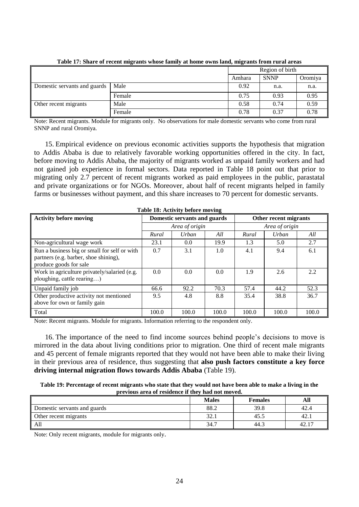<span id="page-23-0"></span>

|                              |        | Region of birth |             |         |
|------------------------------|--------|-----------------|-------------|---------|
|                              |        | Amhara          | <b>SNNP</b> | Oromiya |
| Domestic servants and guards | Male   | 0.92            | n.a.        | n.a.    |
|                              | Female | 0.75            | 0.93        | 0.95    |
| Other recent migrants        | Male   | 0.58            | 0.74        | 0.59    |
|                              | Female | 0.78            | 0.37        | 0.78    |

**Table 17: Share of recent migrants whose family at home owns land, migrants from rural areas**

Note: Recent migrants. Module for migrants only. No observations for male domestic servants who come from rural SNNP and rural Oromiya.

15. Empirical evidence on previous economic activities supports the hypothesis that migration to Addis Ababa is due to relatively favorable working opportunities offered in the city. In fact, before moving to Addis Ababa, the majority of migrants worked as unpaid family workers and had not gained job experience in formal sectors. Data reported in Table 18 point out that prior to migrating only 2.7 percent of recent migrants worked as paid employees in the public, parastatal and private organizations or for NGOs. Moreover, about half of recent migrants helped in family farms or businesses without payment, and this share increases to 70 percent for domestic servants.

<span id="page-23-1"></span>

| Table 18: Activity before moving                                                                                |                              |                |       |                       |              |       |  |
|-----------------------------------------------------------------------------------------------------------------|------------------------------|----------------|-------|-----------------------|--------------|-------|--|
| <b>Activity before moving</b>                                                                                   | Domestic servants and guards |                |       | Other recent migrants |              |       |  |
|                                                                                                                 |                              | Area of origin |       | Area of origin        |              |       |  |
|                                                                                                                 | Rural                        | Urban          | All   | Rural                 | <b>Urban</b> | All   |  |
| Non-agricultural wage work                                                                                      | 23.1                         | 0.0            | 19.9  | 1.3                   | 5.0          | 2.7   |  |
| Run a business big or small for self or with<br>partners (e.g. barber, shoe shining),<br>produce goods for sale | 0.7                          | 3.1            | 1.0   | 4.1                   | 9.4          | 6.1   |  |
| Work in agriculture privately/salaried (e.g.<br>ploughing, cattle rearing)                                      | 0.0                          | 0.0            | 0.0   | 1.9                   | 2.6          | 2.2   |  |
| Unpaid family job                                                                                               | 66.6                         | 92.2           | 70.3  | 57.4                  | 44.2         | 52.3  |  |
| Other productive activity not mentioned<br>above for own or family gain                                         | 9.5                          | 4.8            | 8.8   | 35.4                  | 38.8         | 36.7  |  |
| Total                                                                                                           | 100.0                        | 100.0          | 100.0 | 100.0                 | 100.0        | 100.0 |  |

Note: Recent migrants. Module for migrants. Information referring to the respondent only.

16. The importance of the need to find income sources behind people's decisions to move is mirrored in the data about living conditions prior to migration. One third of recent male migrants and 45 percent of female migrants reported that they would not have been able to make their living in their previous area of residence, thus suggesting that **also push factors constitute a key force driving internal migration flows towards Addis Ababa** (Table 19).

<span id="page-23-2"></span>

| Table 19: Percentage of recent migrants who state that they would not have been able to make a living in the |
|--------------------------------------------------------------------------------------------------------------|
| previous area of residence if they had not moved.                                                            |

|                                      | <b>Males</b> | <b>Females</b> | All                    |
|--------------------------------------|--------------|----------------|------------------------|
| Domestic servants and guards         | 88.2         | 39.8           | 42.4                   |
| $\blacksquare$ Other recent migrants | 32.1         | 45.5           | 42.                    |
| All                                  | 34.7         | 44.3           | $\overline{1}$<br>42.1 |

Note: Only recent migrants, module for migrants only.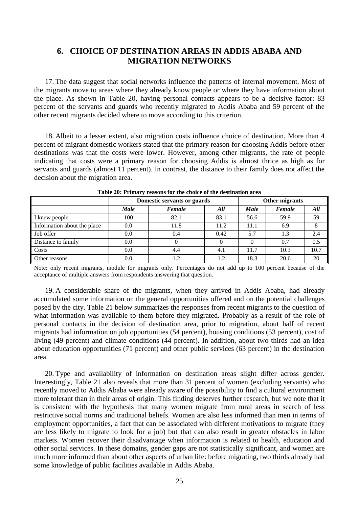# <span id="page-24-0"></span>**6. CHOICE OF DESTINATION AREAS IN ADDIS ABABA AND MIGRATION NETWORKS**

17. The data suggest that social networks influence the patterns of internal movement. Most of the migrants move to areas where they already know people or where they have information about the place. As shown in Table 20, having personal contacts appears to be a decisive factor: 83 percent of the servants and guards who recently migrated to Addis Ababa and 59 percent of the other recent migrants decided where to move according to this criterion.

18. Albeit to a lesser extent, also migration costs influence choice of destination. More than 4 percent of migrant domestic workers stated that the primary reason for choosing Addis before other destinations was that the costs were lower. However, among other migrants, the rate of people indicating that costs were a primary reason for choosing Addis is almost thrice as high as for servants and guards (almost 11 percent). In contrast, the distance to their family does not affect the decision about the migration area.

<span id="page-24-1"></span>

|                             | Domestic servants or guards |        |      |             | Other migrants |      |
|-----------------------------|-----------------------------|--------|------|-------------|----------------|------|
|                             | <b>Male</b>                 | Female | All  | <b>Male</b> | Female         | All  |
| I knew people               | 100                         | 82.1   | 83.1 | 56.6        | 59.9           | 59   |
| Information about the place | 0.0                         | 11.8   | 11.2 | 11.1        | 6.9            |      |
| Job offer                   | 0.0                         | 0.4    | 0.42 | 5.7         | 1.3            | 2.4  |
| Distance to family          | 0.0                         |        |      |             | 0.7            | 0.5  |
| Costs                       | 0.0                         | 4.4    | 4.1  | 11.7        | 10.3           | 10.7 |
| Other reasons               | 0.0                         | 1.2    | 1.2  | 18.3        | 20.6           | 20   |

**Table 20: Primary reasons for the choice of the destination area**

Note: only recent migrants, module for migrants only. Percentages do not add up to 100 percent because of the acceptance of multiple answers from respondents answering that question.

19. A considerable share of the migrants, when they arrived in Addis Ababa, had already accumulated some information on the general opportunities offered and on the potential challenges posed by the city. Table 21 below summarizes the responses from recent migrants to the question of what information was available to them before they migrated. Probably as a result of the role of personal contacts in the decision of destination area, prior to migration, about half of recent migrants had information on job opportunities (54 percent), housing conditions (53 percent), cost of living (49 percent) and climate conditions (44 percent). In addition, about two thirds had an idea about education opportunities (71 percent) and other public services (63 percent) in the destination area.

20. Type and availability of information on destination areas slight differ across gender. Interestingly, Table 21 also reveals that more than 31 percent of women (excluding servants) who recently moved to Addis Ababa were already aware of the possibility to find a cultural environment more tolerant than in their areas of origin. This finding deserves further research, but we note that it is consistent with the hypothesis that many women migrate from rural areas in search of less restrictive social norms and traditional beliefs. Women are also less informed than men in terms of employment opportunities, a fact that can be associated with different motivations to migrate (they are less likely to migrate to look for a job) but that can also result in greater obstacles in labor markets. Women recover their disadvantage when information is related to health, education and other social services. In these domains, gender gaps are not statistically significant, and women are much more informed than about other aspects of urban life: before migrating, two thirds already had some knowledge of public facilities available in Addis Ababa.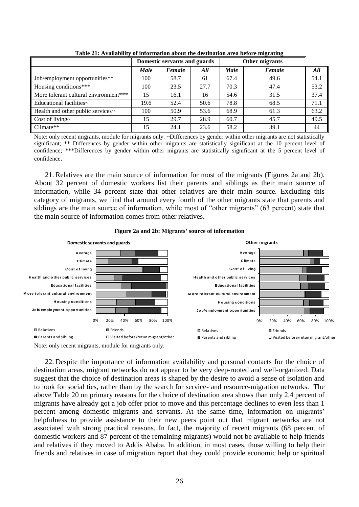<span id="page-25-1"></span>

|                                       |             | Domestic servants and guards |      |             | Other migrants |      |
|---------------------------------------|-------------|------------------------------|------|-------------|----------------|------|
|                                       | <b>Male</b> | Female                       | All  | <b>Male</b> | Female         | All  |
| Job/employment opportunities**        | 100         | 58.7                         | 61   | 67.4        | 49.6           | 54.1 |
| Housing conditions***                 | 100         | 23.5                         | 27.7 | 70.3        | 47.4           | 53.2 |
| More tolerant cultural environment*** | 15          | 16.1                         | 16   | 54.6        | 31.5           | 37.4 |
| Educational facilities~               | 19.6        | 52.4                         | 50.6 | 78.8        | 68.5           | 71.1 |
| Health and other public services~     | 100         | 50.9                         | 53.6 | 68.9        | 61.3           | 63.2 |
| Cost of living~                       | 15          | 29.7                         | 28.9 | 60.7        | 45.7           | 49.5 |
| $Climate**$                           | 15          | 24.1                         | 23.6 | 58.2        | 39.1           | 44   |

**Table 21: Availability of information about the destination area before migrating**

Note: only recent migrants, module for migrants only. ~Differences by gender within other migrants are not statistically significant; \*\* Differences by gender within other migrants are statistically significant at the 10 percent level of confidence; \*\*\*Differences by gender within other migrants are statistically significant at the 5 percent level of confidence.

21. Relatives are the main source of information for most of the migrants (Figures 2a and 2b). About 32 percent of domestic workers list their parents and siblings as their main source of information, while 34 percent state that other relatives are their main source. Excluding this category of migrants, we find that around every fourth of the other migrants state that parents and siblings are the main source of information, while most of "other migrants" (63 percent) state that the main source of information comes from other relatives.



<span id="page-25-0"></span>

Note: only recent migrants, module for migrants only.

22. Despite the importance of information availability and personal contacts for the choice of destination areas, migrant networks do not appear to be very deep-rooted and well-organized. Data suggest that the choice of destination areas is shaped by the desire to avoid a sense of isolation and to look for social ties, rather than by the search for service- and resource-migration networks. The above Table 20 on primary reasons for the choice of destination area shows than only 2.4 percent of migrants have already got a job offer prior to move and this percentage declines to even less than 1 percent among domestic migrants and servants. At the same time, information on migrants' helpfulness to provide assistance to their new peers point out that migrant networks are not associated with strong practical reasons. In fact, the majority of recent migrants (68 percent of domestic workers and 87 percent of the remaining migrants) would not be available to help friends and relatives if they moved to Addis Ababa. In addition, in most cases, those willing to help their friends and relatives in case of migration report that they could provide economic help or spiritual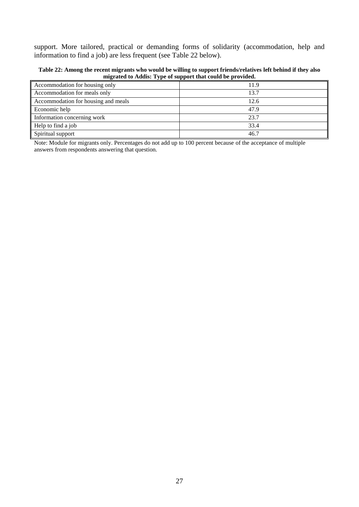support. More tailored, practical or demanding forms of solidarity (accommodation, help and information to find a job) are less frequent (see Table 22 below).

<span id="page-26-0"></span>**Table 22: Among the recent migrants who would be willing to support friends/relatives left behind if they also migrated to Addis: Type of support that could be provided.**

| Accommodation for housing only      | 11.9 |
|-------------------------------------|------|
| Accommodation for meals only        | 13.7 |
| Accommodation for housing and meals | 12.6 |
| Economic help                       | 47.9 |
| Information concerning work         | 23.7 |
| Help to find a job                  | 33.4 |
| Spiritual support                   | 46.7 |

Note: Module for migrants only. Percentages do not add up to 100 percent because of the acceptance of multiple answers from respondents answering that question.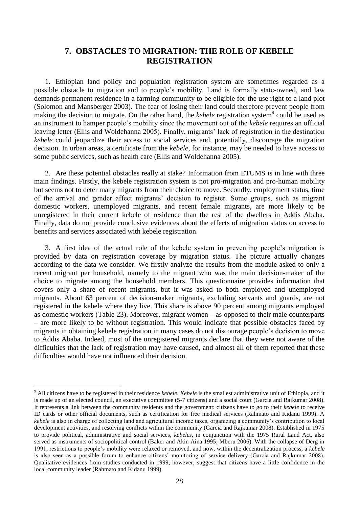# <span id="page-27-0"></span>**7. OBSTACLES TO MIGRATION: THE ROLE OF KEBELE REGISTRATION**

1. Ethiopian land policy and population registration system are sometimes regarded as a possible obstacle to migration and to people's mobility. Land is formally state-owned, and law demands permanent residence in a farming community to be eligible for the use right to a land plot (Solomon and Mansberger 2003). The fear of losing their land could therefore prevent people from making the decision to migrate. On the other hand, the *kebele* registration system<sup>9</sup> could be used as an instrument to hamper people's mobility since the movement out of the *kebele* requires an official leaving letter (Ellis and Woldehanna 2005). Finally, migrants' lack of registration in the destination *kebele* could jeopardize their access to social services and, potentially, discourage the migration decision. In urban areas, a certificate from the *kebele*, for instance, may be needed to have access to some public services, such as health care (Ellis and Woldehanna 2005).

2. Are these potential obstacles really at stake? Information from ETUMS is in line with three main findings. Firstly, the kebele registration system is not pro-migration and pro-human mobility but seems not to deter many migrants from their choice to move. Secondly, employment status, time of the arrival and gender affect migrants' decision to register. Some groups, such as migrant domestic workers, unemployed migrants, and recent female migrants, are more likely to be unregistered in their current kebele of residence than the rest of the dwellers in Addis Ababa. Finally, data do not provide conclusive evidences about the effects of migration status on access to benefits and services associated with kebele registration.

3. A first idea of the actual role of the kebele system in preventing people's migration is provided by data on registration coverage by migration status. The picture actually changes according to the data we consider. We firstly analyze the results from the module asked to only a recent migrant per household, namely to the migrant who was the main decision-maker of the choice to migrate among the household members. This questionnaire provides information that covers only a share of recent migrants, but it was asked to both employed and unemployed migrants. About 63 percent of decision-maker migrants, excluding servants and guards, are not registered in the kebele where they live. This share is above 90 percent among migrants employed as domestic workers (Table 23). Moreover, migrant women – as opposed to their male counterparts – are more likely to be without registration. This would indicate that possible obstacles faced by migrants in obtaining kebele registration in many cases do not discourage people's decision to move to Addis Ababa. Indeed, most of the unregistered migrants declare that they were not aware of the difficulties that the lack of registration may have caused, and almost all of them reported that these difficulties would have not influenced their decision.

1

<sup>9</sup> All citizens have to be registered in their residence *kebele*. *Kebele* is the smallest administrative unit of Ethiopia, and it is made up of an elected council, an executive committee (5-7 citizens) and a social court (Garcia and Rajkumar 2008). It represents a link between the community residents and the government: citizens have to go to their *kebele* to receive ID cards or other official documents, such as certification for free medical services (Rahmato and Kidanu 1999). A *kebele* is also in charge of collecting land and agricultural income taxes, organizing a community's contribution to local development activities, and resolving conflicts within the community (Garcia and Rajkumar 2008). Established in 1975 to provide political, administrative and social services, *kebeles*, in conjunction with the 1975 Rural Land Act, also served as instruments of sociopolitical control (Baker and Akin Aina 1995; Mberu 2006). With the collapse of Derg in 1991, restrictions to people's mobility were relaxed or removed, and now, within the decentralization process, a *kebele* is also seen as a possible forum to enhance citizens' monitoring of service delivery (Garcia and Rajkumar 2008). Qualitative evidences from studies conducted in 1999, however, suggest that citizens have a little confidence in the local community leader (Rahmato and Kidanu 1999).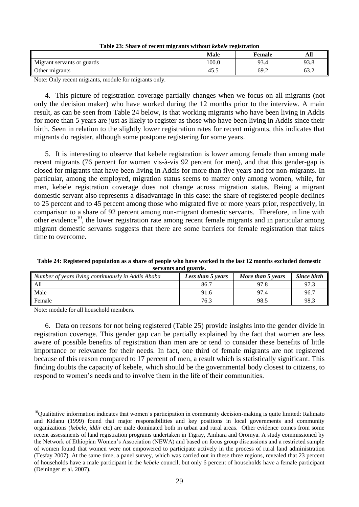<span id="page-28-0"></span>

| Table 23. Share of recent lingrants without <i>kevele</i> registration |             |               |      |  |
|------------------------------------------------------------------------|-------------|---------------|------|--|
|                                                                        | <b>Male</b> | <b>Female</b> | All  |  |
| Migrant servants or guards                                             | 100.0       | 93.4          | 93.8 |  |
| Other migrants                                                         | 45.5        | 69.2          | 63.2 |  |

**Table 23: Share of recent migrants without** *kebele* **registration**

Note: Only recent migrants, module for migrants only.

4. This picture of registration coverage partially changes when we focus on all migrants (not only the decision maker) who have worked during the 12 months prior to the interview. A main result, as can be seen from Table 24 below, is that working migrants who have been living in Addis for more than 5 years are just as likely to register as those who have been living in Addis since their birth. Seen in relation to the slightly lower registration rates for recent migrants, this indicates that migrants do register, although some postpone registering for some years.

5. It is interesting to observe that kebele registration is lower among female than among male recent migrants (76 percent for women vis-à-vis 92 percent for men), and that this gender-gap is closed for migrants that have been living in Addis for more than five years and for non-migrants. In particular, among the employed, migration status seems to matter only among women, while, for men, kebele registration coverage does not change across migration status. Being a migrant domestic servant also represents a disadvantage in this case: the share of registered people declines to 25 percent and to 45 percent among those who migrated five or more years prior, respectively, in comparison to a share of 92 percent among non-migrant domestic servants. Therefore, in line with other evidence<sup>10</sup>, the lower registration rate among recent female migrants and in particular among migrant domestic servants suggests that there are some barriers for female registration that takes time to overcome.

<span id="page-28-1"></span>

| Table 24: Registered population as a share of people who have worked in the last 12 months excluded domestic |  |
|--------------------------------------------------------------------------------------------------------------|--|
| servants and guards.                                                                                         |  |

| Number of years living continuously in Addis Ababa | Less than 5 years | More than 5 years | <b>Since birth</b> |
|----------------------------------------------------|-------------------|-------------------|--------------------|
| All                                                | 86.7              | 97.8              | 97.3               |
| Male                                               | 91.6              | 97.4              | 96.7               |
| Female                                             | 76.3              | 98.5              | 98.3               |

Note: module for all household members.

6. Data on reasons for not being registered (Table 25) provide insights into the gender divide in registration coverage. This gender gap can be partially explained by the fact that women are less aware of possible benefits of registration than men are or tend to consider these benefits of little importance or relevance for their needs. In fact, one third of female migrants are not registered because of this reason compared to 17 percent of men, a result which is statistically significant. This finding doubts the capacity of kebele, which should be the governmental body closest to citizens, to respond to women's needs and to involve them in the life of their communities.

<sup>&</sup>lt;u>.</u> <sup>10</sup>Qualitative information indicates that women's participation in community decision-making is quite limited: Rahmato and Kidanu (1999) found that major responsibilities and key positions in local governments and community organizations (*kebele*, *iddir* etc) are male dominated both in urban and rural areas. Other evidence comes from some recent assessments of land registration programs undertaken in Tigray, Amhara and Oromya. A study commissioned by the Network of Ethiopian Women's Association (NEWA) and based on focus group discussions and a restricted sample of women found that women were not empowered to participate actively in the process of rural land administration (Tesfay 2007). At the same time, a panel survey, which was carried out in these three regions, revealed that 23 percent of households have a male participant in the *kebele* council, but only 6 percent of households have a female participant (Deininger et al. 2007).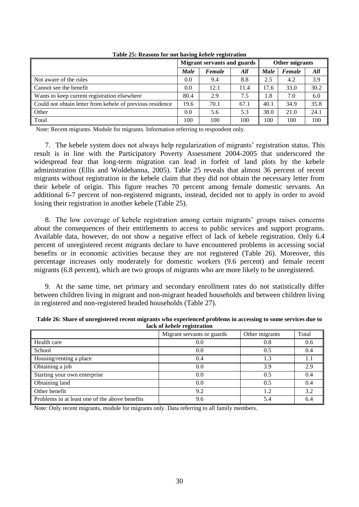<span id="page-29-0"></span>

|                                                           |             | <b>Migrant servants and guards</b> |      | Other migrants |        |      |
|-----------------------------------------------------------|-------------|------------------------------------|------|----------------|--------|------|
|                                                           | <b>Male</b> | Female                             | All  | <b>Male</b>    | Female | All  |
| Not aware of the rules                                    | 0.0         | 9.4                                | 8.8  | 2.5            | 4.2    | 3.9  |
| Cannot see the benefit                                    | 0.0         | 12.1                               | 11.4 | 17.6           | 33.0   | 30.2 |
| Wants to keep current registration elsewhere              | 80.4        | 2.9                                | 7.5  | 1.8            | 7.0    | 6.0  |
| Could not obtain letter from kebele of previous residence | 19.6        | 70.1                               | 67.1 | 40.1           | 34.9   | 35.8 |
| Other                                                     | 0.0         | 5.6                                | 5.3  | 38.0           | 21.0   | 24.1 |
| Total                                                     | 100         | 100                                | 100  | 100            | 100    | 100  |

**Table 25: Reasons for not having** *kebele* **registration**

Note: Recent migrants. Module for migrants. Information referring to respondent only.

7. The kebele system does not always help regularization of migrants' registration status. This result is in line with the Participatory Poverty Assessment 2004-2005 that underscored the widespread fear that long-term migration can lead in forfeit of land plots by the kebele administration (Ellis and Woldehanna, 2005). Table 25 reveals that almost 36 percent of recent migrants without registration in the kebele claim that they did not obtain the necessary letter from their kebele of origin. This figure reaches 70 percent among female domestic servants. An additional 6-7 percent of non-registered migrants, instead, decided not to apply in order to avoid losing their registration in another kebele (Table 25).

8. The low coverage of kebele registration among certain migrants' groups raises concerns about the consequences of their entitlements to access to public services and support programs. Available data, however, do not show a negative effect of lack of kebele registration. Only 6.4 percent of unregistered recent migrants declare to have encountered problems in accessing social benefits or in economic activities because they are not registered (Table 26). Moreover, this percentage increases only moderately for domestic workers (9.6 percent) and female recent migrants (6.8 percent), which are two groups of migrants who are more likely to be unregistered.

9. At the same time, net primary and secondary enrollment rates do not statistically differ between children living in migrant and non-migrant headed households and between children living in registered and non-registered headed households (Table 27).

| rack of <i>repele</i> registration             |                            |                |       |  |  |  |  |
|------------------------------------------------|----------------------------|----------------|-------|--|--|--|--|
|                                                | Migrant servants or guards | Other migrants | Total |  |  |  |  |
| Health care                                    | 0.0                        | 0.8            | 0.6   |  |  |  |  |
| School                                         | 0.0                        | 0.5            | 0.4   |  |  |  |  |
| Housing/renting a place                        | 0.4                        | 1.3            | 1.1   |  |  |  |  |
| Obtaining a job                                | 0.0                        | 3.9            | 2.9   |  |  |  |  |
| Starting your own enterprise                   | 0.0                        | 0.5            | 0.4   |  |  |  |  |
| Obtaining land                                 | 0.0                        | 0.5            | 0.4   |  |  |  |  |
| Other benefit                                  | 9.2                        | 1.2            | 3.2   |  |  |  |  |
| Problems in at least one of the above benefits | 9.6                        | 5.4            | 6.4   |  |  |  |  |

<span id="page-29-1"></span>**Table 26: Share of unregistered recent migrants who experienced problems in accessing to some services due to lack of** *kebele* **registration**

Note: Only recent migrants, module for migrants only. Data referring to all family members.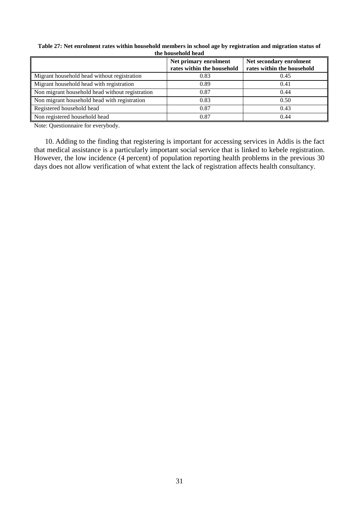| uit housthoid head                              |                                                     |                                                       |  |  |  |
|-------------------------------------------------|-----------------------------------------------------|-------------------------------------------------------|--|--|--|
|                                                 | Net primary enrolment<br>rates within the household | Net secondary enrolment<br>rates within the household |  |  |  |
|                                                 |                                                     |                                                       |  |  |  |
| Migrant household head without registration     | 0.83                                                | 0.45                                                  |  |  |  |
| Migrant household head with registration        | 0.89                                                | 0.41                                                  |  |  |  |
| Non migrant household head without registration | 0.87                                                | 0.44                                                  |  |  |  |
| Non migrant household head with registration    | 0.83                                                | 0.50                                                  |  |  |  |
| Registered household head                       | 0.87                                                | 0.43                                                  |  |  |  |
| Non registered household head                   | 0.87                                                | 0.44                                                  |  |  |  |

<span id="page-30-0"></span>**Table 27: Net enrolment rates within household members in school age by registration and migration status of the household head**

Note: Questionnaire for everybody.

10. Adding to the finding that registering is important for accessing services in Addis is the fact that medical assistance is a particularly important social service that is linked to kebele registration. However, the low incidence (4 percent) of population reporting health problems in the previous 30 days does not allow verification of what extent the lack of registration affects health consultancy.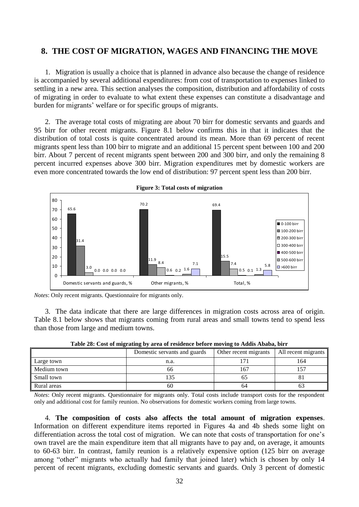# <span id="page-31-0"></span>**8. THE COST OF MIGRATION, WAGES AND FINANCING THE MOVE**

1. Migration is usually a choice that is planned in advance also because the change of residence is accompanied by several additional expenditures: from cost of transportation to expenses linked to settling in a new area. This section analyses the composition, distribution and affordability of costs of migrating in order to evaluate to what extent these expenses can constitute a disadvantage and burden for migrants' welfare or for specific groups of migrants.

2. The average total costs of migrating are about 70 birr for domestic servants and guards and 95 birr for other recent migrants. Figure 8.1 below confirms this in that it indicates that the distribution of total costs is quite concentrated around its mean. More than 69 percent of recent migrants spent less than 100 birr to migrate and an additional 15 percent spent between 100 and 200 birr. About 7 percent of recent migrants spent between 200 and 300 birr, and only the remaining 8 percent incurred expenses above 300 birr. Migration expenditures met by domestic workers are even more concentrated towards the low end of distribution: 97 percent spent less than 200 birr.

<span id="page-31-1"></span>

*Notes*: Only recent migrants. Questionnaire for migrants only.

3. The data indicate that there are large differences in migration costs across area of origin. Table 8.1 below shows that migrants coming from rural areas and small towns tend to spend less than those from large and medium towns.

<span id="page-31-2"></span>

|             | Domestic servants and guards | Other recent migrants | All recent migrants |
|-------------|------------------------------|-----------------------|---------------------|
| Large town  | n.a.                         |                       | 164                 |
| Medium town | 66                           | 167                   |                     |
| Small town  | 135                          |                       | δI                  |
| Rural areas | 60                           | 64                    | 03                  |

**Table 28: Cost of migrating by area of residence before moving to Addis Ababa, birr**

*Notes*: Only recent migrants. Questionnaire for migrants only. Total costs include transport costs for the respondent only and additional cost for family reunion. No observations for domestic workers coming from large towns.

4. **The composition of costs also affects the total amount of migration expenses**. Information on different expenditure items reported in Figures 4a and 4b sheds some light on differentiation across the total cost of migration. We can note that costs of transportation for one's own travel are the main expenditure item that all migrants have to pay and, on average, it amounts to 60-63 birr. In contrast, family reunion is a relatively expensive option (125 birr on average among "other" migrants who actually had family that joined later) which is chosen by only 14 percent of recent migrants, excluding domestic servants and guards. Only 3 percent of domestic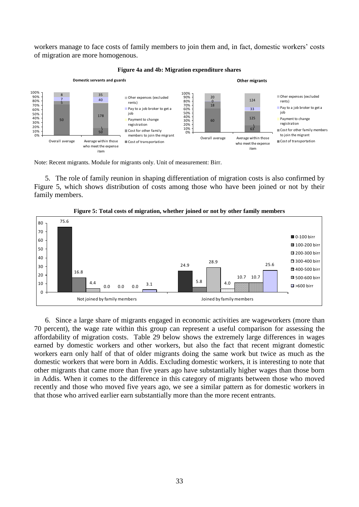workers manage to face costs of family members to join them and, in fact, domestic workers' costs of migration are more homogenous.

<span id="page-32-0"></span>

#### **Figure 4a and 4b: Migration expenditure shares**

Note: Recent migrants. Module for migrants only. Unit of measurement: Birr.

5. The role of family reunion in shaping differentiation of migration costs is also confirmed by Figure 5, which shows distribution of costs among those who have been joined or not by their family members.

<span id="page-32-1"></span>

**Figure 5: Total costs of migration, whether joined or not by other family members**

6. Since a large share of migrants engaged in economic activities are wageworkers (more than 70 percent), the wage rate within this group can represent a useful comparison for assessing the affordability of migration costs. Table 29 below shows the extremely large differences in wages earned by domestic workers and other workers, but also the fact that recent migrant domestic workers earn only half of that of older migrants doing the same work but twice as much as the domestic workers that were born in Addis. Excluding domestic workers, it is interesting to note that other migrants that came more than five years ago have substantially higher wages than those born in Addis. When it comes to the difference in this category of migrants between those who moved recently and those who moved five years ago, we see a similar pattern as for domestic workers in that those who arrived earlier earn substantially more than the more recent entrants.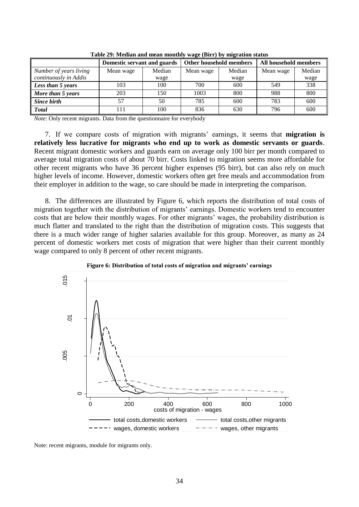<span id="page-33-1"></span>

|                        | Domestic servant and guards |        | Other household members |        | All household members |        |
|------------------------|-----------------------------|--------|-------------------------|--------|-----------------------|--------|
| Number of years living | Mean wage                   | Median | Mean wage               | Median | Mean wage             | Median |
| continuously in Addis  |                             | wage   |                         | wage   |                       | wage   |
| Less than 5 years      | 103                         | 100    | 700                     | 600    | 549                   | 338    |
| More than 5 years      | 203                         | 150    | 1003                    | 800    | 988                   | 800    |
| Since birth            | 57                          | 50     | 785                     | 600    | 783                   | 600    |
| <b>Total</b>           | 111                         | 100    | 836                     | 630    | 796                   | 600    |

**Table 29: Median and mean monthly wage (Birr) by migration status**

*Note*: Only recent migrants. Data from the questionnaire for everybody

7. If we compare costs of migration with migrants' earnings, it seems that **migration is relatively less lucrative for migrants who end up to work as domestic servants or guards**. Recent migrant domestic workers and guards earn on average only 100 birr per month compared to average total migration costs of about 70 birr. Costs linked to migration seems more affordable for other recent migrants who have 36 percent higher expenses (95 birr), but can also rely on much higher levels of income. However, domestic workers often get free meals and accommodation from their employer in addition to the wage, so care should be made in interpreting the comparison.

8. The differences are illustrated by Figure 6, which reports the distribution of total costs of migration together with the distribution of migrants' earnings. Domestic workers tend to encounter costs that are below their monthly wages. For other migrants' wages, the probability distribution is much flatter and translated to the right than the distribution of migration costs. This suggests that there is a much wider range of higher salaries available for this group. Moreover, as many as 24 percent of domestic workers met costs of migration that were higher than their current monthly wage compared to only 8 percent of other recent migrants.

<span id="page-33-0"></span>



Note: recent migrants, module for migrants only.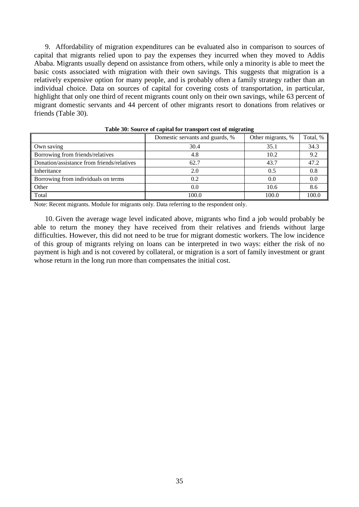9. Affordability of migration expenditures can be evaluated also in comparison to sources of capital that migrants relied upon to pay the expenses they incurred when they moved to Addis Ababa. Migrants usually depend on assistance from others, while only a minority is able to meet the basic costs associated with migration with their own savings. This suggests that migration is a relatively expensive option for many people, and is probably often a family strategy rather than an individual choice. Data on sources of capital for covering costs of transportation, in particular, highlight that only one third of recent migrants count only on their own savings, while 63 percent of migrant domestic servants and 44 percent of other migrants resort to donations from relatives or friends (Table 30).

<span id="page-34-0"></span>

|                                            | Domestic servants and guards, % | Other migrants, % | Total, % |
|--------------------------------------------|---------------------------------|-------------------|----------|
| Own saving                                 | 30.4                            | 35.1              | 34.3     |
| Borrowing from friends/relatives           | 4.8                             | 10.2              | 9.2      |
| Donation/assistance from friends/relatives | 62.7                            | 43.7              | 47.2     |
| Inheritance                                | 2.0                             | 0.5               | 0.8      |
| Borrowing from individuals on terms        | 0.2                             | 0.0               | 0.0      |
| Other                                      | 0.0                             | 10.6              | 8.6      |
| Total                                      | 100.0                           | 100.0             | 100.0    |

**Table 30: Source of capital for transport cost of migrating**

Note: Recent migrants. Module for migrants only. Data referring to the respondent only.

10. Given the average wage level indicated above, migrants who find a job would probably be able to return the money they have received from their relatives and friends without large difficulties. However, this did not need to be true for migrant domestic workers. The low incidence of this group of migrants relying on loans can be interpreted in two ways: either the risk of no payment is high and is not covered by collateral, or migration is a sort of family investment or grant whose return in the long run more than compensates the initial cost.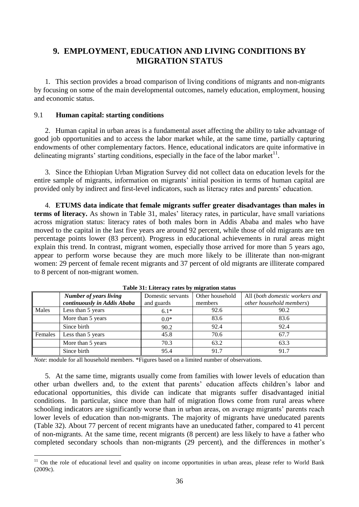# <span id="page-35-0"></span>**9. EMPLOYMENT, EDUCATION AND LIVING CONDITIONS BY MIGRATION STATUS**

1. This section provides a broad comparison of living conditions of migrants and non-migrants by focusing on some of the main developmental outcomes, namely education, employment, housing and economic status.

### <span id="page-35-1"></span>9.1 **Human capital: starting conditions**

2. Human capital in urban areas is a fundamental asset affecting the ability to take advantage of good job opportunities and to access the labor market while, at the same time, partially capturing endowments of other complementary factors. Hence, educational indicators are quite informative in delineating migrants' starting conditions, especially in the face of the labor market $11$ .

3. Since the Ethiopian Urban Migration Survey did not collect data on education levels for the entire sample of migrants, information on migrants' initial position in terms of human capital are provided only by indirect and first-level indicators, such as literacy rates and parents' education.

4. **ETUMS data indicate that female migrants suffer greater disadvantages than males in terms of literacy.** As shown in Table 31, males' literacy rates, in particular, have small variations across migration status: literacy rates of both males born in Addis Ababa and males who have moved to the capital in the last five years are around 92 percent, while those of old migrants are ten percentage points lower (83 percent). Progress in educational achievements in rural areas might explain this trend. In contrast, migrant women, especially those arrived for more than 5 years ago, appear to perform worse because they are much more likely to be illiterate than non-migrant women: 29 percent of female recent migrants and 37 percent of old migrants are illiterate compared to 8 percent of non-migrant women.

<span id="page-35-2"></span>

|         | <b>Number of years living</b> | Domestic servants | Other household | All (both domestic workers and |
|---------|-------------------------------|-------------------|-----------------|--------------------------------|
|         | continuously in Addis Ababa   | and guards        | members         | other household members)       |
| Males   | Less than 5 years             | $6.1*$            | 92.6            | 90.2                           |
|         | More than 5 years             | $0.0*$            | 83.6            | 83.6                           |
|         | Since birth                   | 90.2              | 92.4            | 92.4                           |
| Females | Less than 5 years             | 45.8              | 70.6            | 67.7                           |
|         | More than 5 years             | 70.3              | 63.2            | 63.3                           |
|         | Since birth                   | 95.4              | 91.7            | 91.7                           |

**Table 31: Literacy rates by migration status**

*Note*: module for all household members. \*Figures based on a limited number of observations.

<u>.</u>

5. At the same time, migrants usually come from families with lower levels of education than other urban dwellers and, to the extent that parents' education affects children's labor and educational opportunities, this divide can indicate that migrants suffer disadvantaged initial conditions. In particular, since more than half of migration flows come from rural areas where schooling indicators are significantly worse than in urban areas, on average migrants' parents reach lower levels of education than non-migrants. The majority of migrants have uneducated parents (Table 32). About 77 percent of recent migrants have an uneducated father, compared to 41 percent of non-migrants. At the same time, recent migrants (8 percent) are less likely to have a father who completed secondary schools than non-migrants (29 percent), and the differences in mother's

 $11$  On the role of educational level and quality on income opportunities in urban areas, please refer to World Bank (2009c).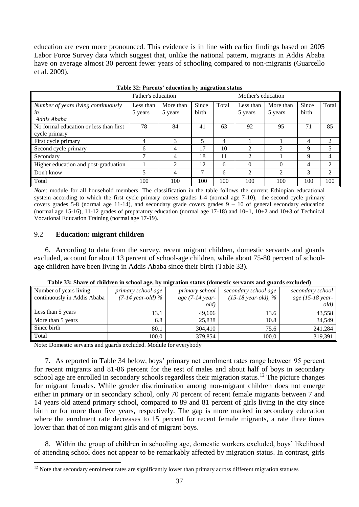education are even more pronounced. This evidence is in line with earlier findings based on 2005 Labor Force Survey data which suggest that, unlike the national pattern, migrants in Addis Ababa have on average almost 30 percent fewer years of schooling compared to non-migrants (Guarcello et al. 2009).

<span id="page-36-1"></span>

|                                                          | Father's education   |                      |                | Mother's education |                      |                      |                |       |
|----------------------------------------------------------|----------------------|----------------------|----------------|--------------------|----------------------|----------------------|----------------|-------|
| Number of years living continuously<br>in<br>Addis Ababa | Less than<br>5 years | More than<br>5 years | Since<br>birth | Total              | Less than<br>5 years | More than<br>5 years | Since<br>birth | Total |
| No formal education or less than first<br>cycle primary  | 78                   | 84                   | 41             | 63                 | 92                   | 95                   | 71             | 85    |
| First cycle primary                                      | 4                    | $\mathcal{R}$        |                | 4                  |                      |                      | 4              | 2     |
| Second cycle primary                                     | 6                    | 4                    | 17             | 10                 | 2                    | $\overline{2}$       | Q              | 5     |
| Secondary                                                | 7                    | 4                    | 18             | 11                 | 2                    |                      | 9              | 4     |
| Higher education and post-graduation                     |                      | 2                    | 12             | 6                  | $\Omega$             | $\theta$             | 4              | 2     |
| Don't know                                               |                      | 4                    | 7              | 6                  | $\overline{2}$       | $\mathfrak{D}$       | 3              | 2     |
| Total                                                    | 100                  | 100                  | 100            | 100                | 100                  | 100                  | 100            | 100   |

|  |  | Table 32: Parents' education by migration status |
|--|--|--------------------------------------------------|
|--|--|--------------------------------------------------|

*Note*: module for all household members. The classification in the table follows the current Ethiopian educational system according to which the first cycle primary covers grades 1-4 (normal age 7-10), the second cycle primary covers grades 5-8 (normal age 11-14), and secondary grade covers grades  $9 - 10$  of general secondary education (normal age 15-16), 11-12 grades of preparatory education (normal age 17-18) and 10+1, 10+2 and 10+3 of Technical Vocational Education Training (normal age 17-19).

### <span id="page-36-0"></span>9.2 **Education: migrant children**

1

6. According to data from the survey, recent migrant children, domestic servants and guards excluded, account for about 13 percent of school-age children, while about 75-80 percent of schoolage children have been living in Addis Ababa since their birth (Table 33).

<span id="page-36-2"></span>

| Number of years living      | primary school age          | primary school             | secondary school age          | secondary school |  |  |  |
|-----------------------------|-----------------------------|----------------------------|-------------------------------|------------------|--|--|--|
| continuously in Addis Ababa | $(7-14 \text{ year-}old)$ % | age $(7-14 \text{ year} -$ | $(15-18 \text{ year-}old), %$ | age (15-18 year- |  |  |  |
|                             |                             | old)                       |                               | old)             |  |  |  |
| Less than 5 years           | 13.1                        | 49,606                     | 13.6                          | 43,558           |  |  |  |
| More than 5 years           | 6.8                         | 25,838                     | 10.8                          | 34,549           |  |  |  |
| Since birth                 | 80.1                        | 304,410                    | 75.6                          | 241,284          |  |  |  |
| Total                       | 100.0                       | 379,854                    | 100.0                         | 319,391          |  |  |  |

**Table 33: Share of children in school age, by migration status (domestic servants and guards excluded)**

Note: Domestic servants and guards excluded. Module for everybody

7. As reported in Table 34 below, boys' primary net enrolment rates range between 95 percent for recent migrants and 81-86 percent for the rest of males and about half of boys in secondary school age are enrolled in secondary schools regardless their migration status.<sup>12</sup> The picture changes for migrant females. While gender discrimination among non-migrant children does not emerge either in primary or in secondary school, only 70 percent of recent female migrants between 7 and 14 years old attend primary school, compared to 89 and 81 percent of girls living in the city since birth or for more than five years, respectively. The gap is more marked in secondary education where the enrolment rate decreases to 15 percent for recent female migrants, a rate three times lower than that of non migrant girls and of migrant boys.

8. Within the group of children in schooling age, domestic workers excluded, boys' likelihood of attending school does not appear to be remarkably affected by migration status. In contrast, girls

<sup>&</sup>lt;sup>12</sup> Note that secondary enrolment rates are significantly lower than primary across different migration statuses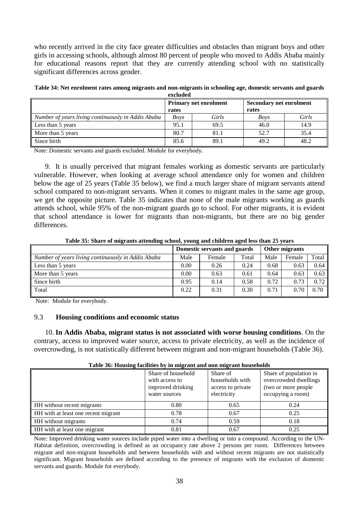who recently arrived in the city face greater difficulties and obstacles than migrant boys and other girls in accessing schools, although almost 80 percent of people who moved to Addis Ababa mainly for educational reasons report that they are currently attending school with no statistically significant differences across gender.

<span id="page-37-1"></span>

| Table 34: Net enrolment rates among migrants and non-migrants in schooling age, domestic servants and guards |  |
|--------------------------------------------------------------------------------------------------------------|--|
| excluded                                                                                                     |  |

|                                                    | rates       | Primary net enrolment | <b>Secondary net enrolment</b><br>rates |       |  |  |
|----------------------------------------------------|-------------|-----------------------|-----------------------------------------|-------|--|--|
| Number of years living continuously in Addis Ababa | <b>Boys</b> | Girls                 | <b>Boys</b>                             | Girls |  |  |
| Less than 5 years                                  | 95.1        | 69.5                  | 46.0                                    | 14.9  |  |  |
| More than 5 years                                  | 80.7        | 81.1                  | 52.7                                    | 35.4  |  |  |
| Since birth                                        | 85.6        | 89.1                  | 49.2                                    | 48.2  |  |  |

Note: Domestic servants and guards excluded. Module for everybody.

9. It is usually perceived that migrant females working as domestic servants are particularly vulnerable. However, when looking at average school attendance only for women and children below the age of 25 years (Table 35 below), we find a much larger share of migrant servants attend school compared to non-migrant servants. When it comes to migrant males in the same age group, we get the opposite picture. Table 35 indicates that none of the male migrants working as guards attends school, while 95% of the non-migrant guards go to school. For other migrants, it is evident that school attendance is lower for migrants than non-migrants, but there are no big gender differences.

<span id="page-37-2"></span>

|                                                    |      | Domestic servants and guards | Other migrants |      |        |       |  |
|----------------------------------------------------|------|------------------------------|----------------|------|--------|-------|--|
| Number of years living continuously in Addis Ababa | Male | Female                       | Total          | Male | Female | Total |  |
| Less than 5 years                                  | 0.00 | 0.26                         | 0.24           | 0.68 | 0.63   | 0.64  |  |
| More than 5 years                                  | 0.00 | 0.63                         | 0.61           | 0.64 | 0.63   | 0.63  |  |
| Since birth                                        | 0.95 | 0.14                         | 0.58           | 0.72 | 0.73   | 0.72  |  |
| Total                                              | 0.22 | 0.31                         | 0.30           | 0.71 | 0.70   | 0.70  |  |
|                                                    |      |                              |                |      |        |       |  |

**Table 35: Share of migrants attending school, young and children aged less than 25 years**

Note: Module for everybody.

### <span id="page-37-0"></span>9.3 **Housing conditions and economic status**

10. **In Addis Ababa, migrant status is not associated with worse housing conditions**. On the contrary, access to improved water source, access to private electricity, as well as the incidence of overcrowding, is not statistically different between migrant and non-migrant households (Table 36).

<span id="page-37-3"></span>

| $\sim$ while $\sim$ 0.1 and 0.000 $\sim$ 0.1000 $\sim$ 1.1000 $\sim$ 1.1000 $\sim$ 1.1000 $\sim$ 1.1000 $\sim$ 1.1000 $\sim$ |                                                                            |                                                                 |                                                                                              |  |  |  |  |
|------------------------------------------------------------------------------------------------------------------------------|----------------------------------------------------------------------------|-----------------------------------------------------------------|----------------------------------------------------------------------------------------------|--|--|--|--|
|                                                                                                                              | Share of household<br>with access to<br>improved drinking<br>water sources | Share of<br>households with<br>access to private<br>electricity | Share of population in<br>overcrowded dwellings<br>(two or more people)<br>occupying a room) |  |  |  |  |
| HH without recent migrants                                                                                                   | 0.80                                                                       | 0.65                                                            | 0.24                                                                                         |  |  |  |  |
| HH with at least one recent migrant                                                                                          | 0.78                                                                       | 0.67                                                            | 0.25                                                                                         |  |  |  |  |
| HH without migrants                                                                                                          | 0.74                                                                       | 0.59                                                            | 0.18                                                                                         |  |  |  |  |
| HH with at least one migrant                                                                                                 | 0.81                                                                       | 0.67                                                            | 0.25                                                                                         |  |  |  |  |

#### **Table 36: Housing facilities by in migrant and non migrant households**

Note: Improved drinking water sources include piped water into a dwelling or into a compound. According to the UN-Habitat definition, overcrowding is defined as an occupancy rate above 2 persons per room. Differences between migrant and non-migrant households and between households with and without recent migrants are not statistically significant. Migrant households are defined according to the presence of migrants with the exclusion of domestic servants and guards. Module for everybody.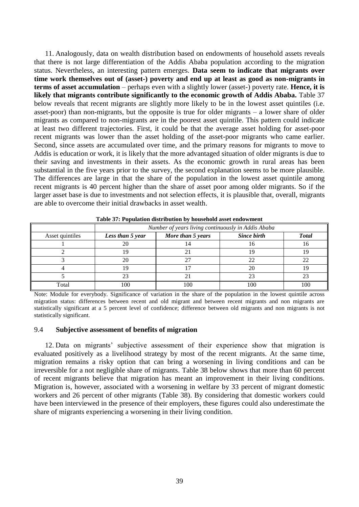11. Analogously, data on wealth distribution based on endowments of household assets reveals that there is not large differentiation of the Addis Ababa population according to the migration status. Nevertheless, an interesting pattern emerges. **Data seem to indicate that migrants over time work themselves out of (asset-) poverty and end up at least as good as non-migrants in terms of asset accumulation** – perhaps even with a slightly lower (asset-) poverty rate. **Hence, it is likely that migrants contribute significantly to the economic growth of Addis Ababa.** Table 37 below reveals that recent migrants are slightly more likely to be in the lowest asset quintiles (i.e. asset-poor) than non-migrants, but the opposite is true for older migrants – a lower share of older migrants as compared to non-migrants are in the poorest asset quintile. This pattern could indicate at least two different trajectories. First, it could be that the average asset holding for asset-poor recent migrants was lower than the asset holding of the asset-poor migrants who came earlier. Second, since assets are accumulated over time, and the primary reasons for migrants to move to Addis is education or work, it is likely that the more advantaged situation of older migrants is due to their saving and investments in their assets. As the economic growth in rural areas has been substantial in the five years prior to the survey, the second explanation seems to be more plausible. The differences are large in that the share of the population in the lowest asset quintile among recent migrants is 40 percent higher than the share of asset poor among older migrants. So if the larger asset base is due to investments and not selection effects, it is plausible that, overall, migrants are able to overcome their initial drawbacks in asset wealth.

<span id="page-38-1"></span>

| Tubic of F opulation ulstribution by household usset endowment |                                                    |             |              |  |  |  |  |  |
|----------------------------------------------------------------|----------------------------------------------------|-------------|--------------|--|--|--|--|--|
|                                                                | Number of years living continuously in Addis Ababa |             |              |  |  |  |  |  |
| Less than 5 year                                               | More than 5 years                                  | Since birth | <b>Total</b> |  |  |  |  |  |
|                                                                | 14                                                 | I O         | I b          |  |  |  |  |  |
|                                                                |                                                    |             | 19           |  |  |  |  |  |
| 20                                                             |                                                    |             |              |  |  |  |  |  |
| 19                                                             |                                                    | 20          | 19           |  |  |  |  |  |
| 23                                                             |                                                    | つっ          | つっ           |  |  |  |  |  |
| 100                                                            | 100                                                | 100         | 100          |  |  |  |  |  |
|                                                                |                                                    |             |              |  |  |  |  |  |

**Table 37: Population distribution by household asset endowment**

Note: Module for everybody. Significance of variation in the share of the population in the lowest quintile across migration status: differences between recent and old migrant and between recent migrants and non migrants are statistically significant at a 5 percent level of confidence; difference between old migrants and non migrants is not statistically significant.

#### <span id="page-38-0"></span>9.4 **Subjective assessment of benefits of migration**

12. Data on migrants' subjective assessment of their experience show that migration is evaluated positively as a livelihood strategy by most of the recent migrants. At the same time, migration remains a risky option that can bring a worsening in living conditions and can be irreversible for a not negligible share of migrants. Table 38 below shows that more than 60 percent of recent migrants believe that migration has meant an improvement in their living conditions. Migration is, however, associated with a worsening in welfare by 33 percent of migrant domestic workers and 26 percent of other migrants (Table 38). By considering that domestic workers could have been interviewed in the presence of their employers, these figures could also underestimate the share of migrants experiencing a worsening in their living condition.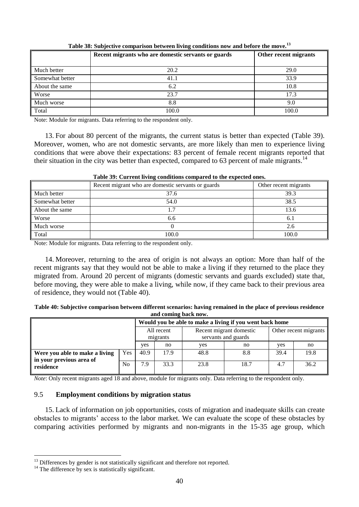<span id="page-39-1"></span>

|                 | Recent migrants who are domestic servants or guards | Other recent migrants |
|-----------------|-----------------------------------------------------|-----------------------|
|                 |                                                     |                       |
| Much better     | 20.2                                                | 29.0                  |
| Somewhat better | 41.1                                                | 33.9                  |
| About the same  | 6.2                                                 | 10.8                  |
| Worse           | 23.7                                                | 17.3                  |
| Much worse      | 8.8                                                 | 9.0                   |
| Total           | 100.0                                               | 100.0                 |

**Table 38: Subjective comparison between living conditions now and before the move.<sup>13</sup>**

Note: Module for migrants. Data referring to the respondent only.

13. For about 80 percent of the migrants, the current status is better than expected (Table 39). Moreover, women, who are not domestic servants, are more likely than men to experience living conditions that were above their expectations: 83 percent of female recent migrants reported that their situation in the city was better than expected, compared to 63 percent of male migrants.<sup>14</sup>

<span id="page-39-2"></span>

| Table 37. Current fiving conditions compared to the expected ones. |                                                    |                       |  |  |  |  |  |
|--------------------------------------------------------------------|----------------------------------------------------|-----------------------|--|--|--|--|--|
|                                                                    | Recent migrant who are domestic servants or guards | Other recent migrants |  |  |  |  |  |
| Much better                                                        | 37.6                                               | 39.3                  |  |  |  |  |  |
| Somewhat better                                                    | 54.0                                               | 38.5                  |  |  |  |  |  |
| About the same                                                     |                                                    | 13.6                  |  |  |  |  |  |
| Worse                                                              | 6.6                                                | 6.1                   |  |  |  |  |  |
| Much worse                                                         |                                                    | 2.6                   |  |  |  |  |  |
| Total                                                              | 100.0                                              | 100.0                 |  |  |  |  |  |

### **Table 39: Current living conditions compared to the expected ones.**

Note: Module for migrants. Data referring to the respondent only.

14. Moreover, returning to the area of origin is not always an option: More than half of the recent migrants say that they would not be able to make a living if they returned to the place they migrated from. Around 20 percent of migrants (domestic servants and guards excluded) state that, before moving, they were able to make a living, while now, if they came back to their previous area of residence, they would not (Table 40).

<span id="page-39-3"></span>

| Table 40: Subjective comparison between different scenarios: having remained in the place of previous residence |
|-----------------------------------------------------------------------------------------------------------------|
| and coming back now.                                                                                            |

|                                                            |                | Would you be able to make a living if you went back home |      |      |                                                |                       |      |  |  |
|------------------------------------------------------------|----------------|----------------------------------------------------------|------|------|------------------------------------------------|-----------------------|------|--|--|
|                                                            |                | All recent<br>migrants                                   |      |      | Recent migrant domestic<br>servants and guards | Other recent migrants |      |  |  |
|                                                            |                |                                                          | no   | ves  | no                                             | ves                   | no   |  |  |
| Were you able to make a living<br>in your previous area of | <b>Yes</b>     | 40.9                                                     | 17.9 | 48.8 | 8.8                                            | 39.4                  | 19.8 |  |  |
| residence                                                  | N <sub>0</sub> | 7.9                                                      | 33.3 | 23.8 | 18.7                                           | 4.7                   | 36.2 |  |  |

*Note*: Only recent migrants aged 18 and above, module for migrants only. Data referring to the respondent only.

### <span id="page-39-0"></span>9.5 **Employment conditions by migration status**

15. Lack of information on job opportunities, costs of migration and inadequate skills can create obstacles to migrants' access to the labor market. We can evaluate the scope of these obstacles by comparing activities performed by migrants and non-migrants in the 15-35 age group, which

<u>.</u>

<sup>&</sup>lt;sup>13</sup> Differences by gender is not statistically significant and therefore not reported.

 $14$  The difference by sex is statistically significant.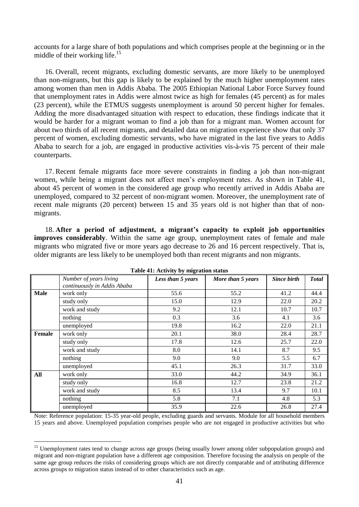accounts for a large share of both populations and which comprises people at the beginning or in the middle of their working life.<sup>15</sup>

16. Overall, recent migrants, excluding domestic servants, are more likely to be unemployed than non-migrants, but this gap is likely to be explained by the much higher unemployment rates among women than men in Addis Ababa. The 2005 Ethiopian National Labor Force Survey found that unemployment rates in Addis were almost twice as high for females (45 percent) as for males (23 percent), while the ETMUS suggests unemployment is around 50 percent higher for females. Adding the more disadvantaged situation with respect to education, these findings indicate that it would be harder for a migrant woman to find a job than for a migrant man. Women account for about two thirds of all recent migrants, and detailed data on migration experience show that only 37 percent of women, excluding domestic servants, who have migrated in the last five years to Addis Ababa to search for a job, are engaged in productive activities vis-à-vis 75 percent of their male counterparts.

17. Recent female migrants face more severe constraints in finding a job than non-migrant women, while being a migrant does not affect men's employment rates. As shown in Table 41, about 45 percent of women in the considered age group who recently arrived in Addis Ababa are unemployed, compared to 32 percent of non-migrant women. Moreover, the unemployment rate of recent male migrants (20 percent) between 15 and 35 years old is not higher than that of nonmigrants.

18. **After a period of adjustment, a migrant's capacity to exploit job opportunities improves considerably**. Within the same age group, unemployment rates of female and male migrants who migrated five or more years ago decrease to 26 and 16 percent respectively. That is, older migrants are less likely to be unemployed both than recent migrants and non migrants.

<span id="page-40-0"></span>

| $\frac{1}{2}$ |                             |                   |                   |                    |              |  |  |  |  |
|---------------|-----------------------------|-------------------|-------------------|--------------------|--------------|--|--|--|--|
|               | Number of years living      | Less than 5 years | More than 5 years | <b>Since birth</b> | <b>Total</b> |  |  |  |  |
|               | continuously in Addis Ababa |                   |                   |                    |              |  |  |  |  |
| <b>Male</b>   | work only                   | 55.6              | 55.2              | 41.2               | 44.4         |  |  |  |  |
|               | study only                  | 15.0              | 12.9              | 22.0               | 20.2         |  |  |  |  |
|               | work and study              | 9.2               | 12.1              | 10.7               | 10.7         |  |  |  |  |
|               | nothing                     | 0.3               | 3.6               | 4.1                | 3.6          |  |  |  |  |
|               | unemployed                  | 19.8              | 16.2              | 22.0               | 21.1         |  |  |  |  |
| <b>Female</b> | work only                   | 20.1              | 38.0              | 28.4               | 28.7         |  |  |  |  |
|               | study only                  | 17.8              | 12.6              | 25.7               | 22.0         |  |  |  |  |
|               | work and study              | 8.0               | 14.1              | 8.7                | 9.5          |  |  |  |  |
|               | nothing                     | 9.0               | 9.0               | 5.5                | 6.7          |  |  |  |  |
|               | unemployed                  | 45.1              | 26.3              | 31.7               | 33.0         |  |  |  |  |
| All           | work only                   | 33.0              | 44.2              | 34.9               | 36.1         |  |  |  |  |
|               | study only                  | 16.8              | 12.7              | 23.8               | 21.2         |  |  |  |  |
|               | work and study              | 8.5               | 13.4              | 9.7                | 10.1         |  |  |  |  |
|               | nothing                     | 5.8               | 7.1               | 4.8                | 5.3          |  |  |  |  |
|               | unemployed                  | 35.9              | 22.6              | 26.8               | 27.4         |  |  |  |  |

**Table 41: Activity by migration status**

Note: Reference population: 15-35 year-old people, excluding guards and servants. Module for all household members 15 years and above. Unemployed population comprises people who are not engaged in productive activities but who

1

<sup>&</sup>lt;sup>15</sup> Unemployment rates tend to change across age groups (being usually lower among older subpopulation groups) and migrant and non-migrant population have a different age composition. Therefore focusing the analysis on people of the same age group reduces the risks of considering groups which are not directly comparable and of attributing difference across groups to migration status instead of to other characteristics such as age.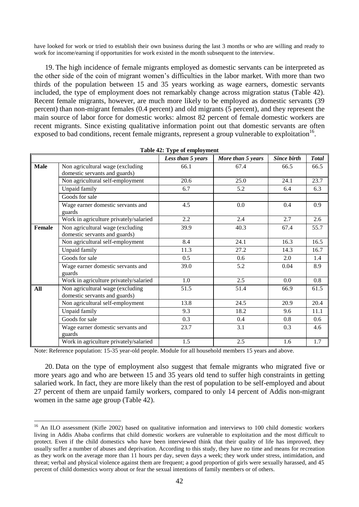have looked for work or tried to establish their own business during the last 3 months or who are willing and ready to work for income/earning if opportunities for work existed in the month subsequent to the interview.

19. The high incidence of female migrants employed as domestic servants can be interpreted as the other side of the coin of migrant women's difficulties in the labor market. With more than two thirds of the population between 15 and 35 years working as wage earners, domestic servants included, the type of employment does not remarkably change across migration status (Table 42). Recent female migrants, however, are much more likely to be employed as domestic servants (39 percent) than non-migrant females (0.4 percent) and old migrants (5 percent), and they represent the main source of labor force for domestic works: almost 82 percent of female domestic workers are recent migrants. Since existing qualitative information point out that domestic servants are often exposed to bad conditions, recent female migrants, represent a group vulnerable to exploitation<sup>16</sup>.

<span id="page-41-0"></span>

|        |                                                                   | Less than 5 years | More than 5 years | <b>Since birth</b> | <b>Total</b> |
|--------|-------------------------------------------------------------------|-------------------|-------------------|--------------------|--------------|
| Male   | Non agricultural wage (excluding<br>domestic servants and guards) | 66.1              | 67.4              | 66.5               | 66.5         |
|        | Non agricultural self-employment                                  | 20.6              | 25.0              | 24.1               | 23.7         |
|        | Unpaid family                                                     | 6.7               | 5.2               | 6.4                | 6.3          |
|        | Goods for sale                                                    |                   |                   |                    |              |
|        | Wage earner domestic servants and<br>guards                       | 4.5               | 0.0               | 0.4                | 0.9          |
|        | Work in agriculture privately/salaried                            | 2.2               | 2.4               | 2.7                | 2.6          |
| Female | Non agricultural wage (excluding<br>domestic servants and guards) | 39.9              | 40.3              | 67.4               | 55.7         |
|        | Non agricultural self-employment                                  | 8.4               | 24.1              | 16.3               | 16.5         |
|        | Unpaid family                                                     | 11.3              | 27.2              | 14.3               | 16.7         |
|        | Goods for sale                                                    | 0.5               | 0.6               | 2.0                | 1.4          |
|        | Wage earner domestic servants and<br>guards                       | 39.0              | 5.2               | 0.04               | 8.9          |
|        | Work in agriculture privately/salaried                            | 1.0               | 2.5               | $0.0\,$            | 0.8          |
| All    | Non agricultural wage (excluding<br>domestic servants and guards) | 51.5              | 51.4              | 66.9               | 61.5         |
|        | Non agricultural self-employment                                  | 13.8              | 24.5              | 20.9               | 20.4         |
|        | Unpaid family                                                     | 9.3               | 18.2              | 9.6                | 11.1         |
|        | Goods for sale                                                    | 0.3               | 0.4               | 0.8                | 0.6          |
|        | Wage earner domestic servants and<br>guards                       | 23.7              | 3.1               | 0.3                | 4.6          |
|        | Work in agriculture privately/salaried                            | 1.5               | 2.5               | 1.6                | 1.7          |

| Table 42: Type of employment |  |  |  |
|------------------------------|--|--|--|
|------------------------------|--|--|--|

Note: Reference population: 15-35 year-old people. Module for all household members 15 years and above.

1

20. Data on the type of employment also suggest that female migrants who migrated five or more years ago and who are between 15 and 35 years old tend to suffer high constraints in getting salaried work. In fact, they are more likely than the rest of population to be self-employed and about 27 percent of them are unpaid family workers, compared to only 14 percent of Addis non-migrant women in the same age group (Table 42).

<sup>&</sup>lt;sup>16</sup> An ILO assessment (Kifle 2002) based on qualitative information and interviews to 100 child domestic workers living in Addis Ababa confirms that child domestic workers are vulnerable to exploitation and the most difficult to protect. Even if the child domestics who have been interviewed think that their quality of life has improved, they usually suffer a number of abuses and deprivation. According to this study, they have no time and means for recreation as they work on the average more than 11 hours per day, seven days a week; they work under stress, intimidation, and threat; verbal and physical violence against them are frequent; a good proportion of girls were sexually harassed, and 45 percent of child domestics worry about or fear the sexual intentions of family members or of others.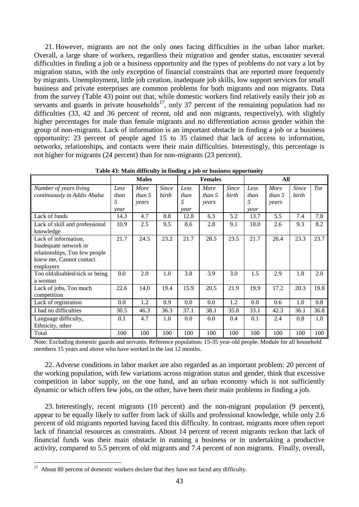21. However, migrants are not the only ones facing difficulties in the urban labor market. Overall, a large share of workers, regardless their migration and gender status, encounter several difficulties in finding a job or a business opportunity and the types of problems do not vary a lot by migration status, with the only exception of financial constraints that are reported more frequently by migrants. Unemployment, little job creation, inadequate job skills, low support services for small business and private enterprises are common problems for both migrants and non migrants. Data from the survey (Table 43) point out that, while domestic workers find relatively easily their job as servants and guards in private households<sup>17</sup>, only 37 percent of the remaining population had no difficulties (33, 42 and 36 percent of recent, old and non migrants, respectively), with slightly higher percentages for male than female migrants and no differentiation across gender within the group of non-migrants. Lack of information is an important obstacle in finding a job or a business opportunity: 23 percent of people aged 15 to 35 claimed that lack of access to information, networks, relationships, and contacts were their main difficulties. Interestingly, this percentage is not higher for migrants (24 percent) than for non-migrants (23 percent).

<span id="page-42-0"></span>

|                                | <b>Males</b> |        |              | <b>Females</b> |        |              | All  |        |              |      |
|--------------------------------|--------------|--------|--------------|----------------|--------|--------------|------|--------|--------------|------|
| Number of years living         | Less         | More   | <b>Since</b> | Less           | More   | <b>Since</b> | Less | More   | <b>Since</b> | Tot  |
| continuously in Addis Ababa    | than         | than 5 | birth        | than           | than 5 | birth        | than | than 5 | birth        |      |
|                                | 5            | years  |              | 5              | years  |              | 5    | years  |              |      |
|                                | vear         |        |              | year           |        |              | year |        |              |      |
| Lack of funds                  | 14.3         | 4.7    | 8.8          | 12.8           | 6.3    | 5.2          | 13.7 | 5.5    | 7.4          | 7.8  |
| Lack of skill and professional | 10.9         | 2.5    | 9.5          | 8.6            | 2.8    | 9.1          | 10.0 | 2.6    | 9.3          | 8.2  |
| knowledge                      |              |        |              |                |        |              |      |        |              |      |
| Lack of information,           | 21.7         | 24.5   | 23.2         | 21.7           | 28.5   | 23.5         | 21.7 | 26.4   | 23.3         | 23.7 |
| Inadequate network or          |              |        |              |                |        |              |      |        |              |      |
| relationships, Too few people  |              |        |              |                |        |              |      |        |              |      |
| knew me, Cannot contact        |              |        |              |                |        |              |      |        |              |      |
| employers                      |              |        |              |                |        |              |      |        |              |      |
| Too old/disabled/sick or being | 0.0          | 2.0    | 1.0          | 3.8            | 3.9    | 3.0          | 1.5  | 2.9    | 1.8          | 2.0  |
| a woman                        |              |        |              |                |        |              |      |        |              |      |
| Lack of jobs, Too much         | 22.6         | 14.0   | 19.4         | 15.9           | 20.5   | 21.9         | 19.9 | 17.2   | 20.3         | 19.8 |
| competition                    |              |        |              |                |        |              |      |        |              |      |
| Lack of registration           | 0.0          | 1.2    | 0.9          | 0.0            | 0.0    | 1.2          | 0.0  | 0.6    | 1.0          | 0.8  |
| I had no difficulties          | 30.5         | 46.3   | 36.3         | 37.1           | 38.1   | 35.8         | 33.1 | 42.3   | 36.1         | 36.8 |
| Language difficulty,           | 0.1          | 4.7    | 1.0          | 0.0            | 0.0    | 0.4          | 0.1  | 2.4    | 0.8          | 1.0  |
| Ethnicity, other               |              |        |              |                |        |              |      |        |              |      |
| Total                          | 100          | 100    | 100          | 100            | 100    | 100          | 100  | 100    | 100          | 100  |

**Table 43: Main difficulty in finding a job or business opportunity**

Note: Excluding domestic guards and servants. Reference population: 15-35 year-old people. Module for all household members 15 years and above who have worked in the last 12 months.

22. Adverse conditions in labor market are also regarded as an important problem: 20 percent of the working population, with few variations across migration status and gender, think that excessive competition in labor supply, on the one hand, and an urban economy which is not sufficiently dynamic or which offers few jobs, on the other, have been their main problems in finding a job.

23. Interestingly, recent migrants (10 percent) and the non-migrant population (9 percent), appear to be equally likely to suffer from lack of skills and professional knowledge, while only 2.6 percent of old migrants reported having faced this difficulty. In contrast, migrants more often report lack of financial resources as constraints. About 14 percent of recent migrants reckon that lack of financial funds was their main obstacle in running a business or in undertaking a productive activity, compared to 5.5 percent of old migrants and 7.4 percent of non migrants. Finally, overall,

<sup>&</sup>lt;sup>17</sup> About 80 percent of domestic workers declare that they have not faced any difficulty.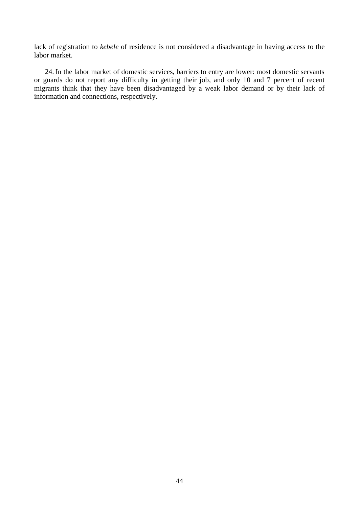lack of registration to *kebele* of residence is not considered a disadvantage in having access to the labor market.

24. In the labor market of domestic services, barriers to entry are lower: most domestic servants or guards do not report any difficulty in getting their job, and only 10 and 7 percent of recent migrants think that they have been disadvantaged by a weak labor demand or by their lack of information and connections, respectively.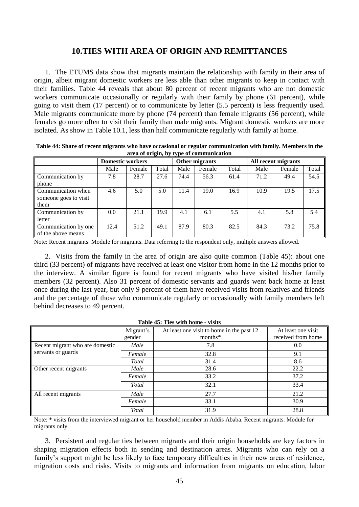### **10.TIES WITH AREA OF ORIGIN AND REMITTANCES**

<span id="page-44-0"></span>1. The ETUMS data show that migrants maintain the relationship with family in their area of origin, albeit migrant domestic workers are less able than other migrants to keep in contact with their families. Table 44 reveals that about 80 percent of recent migrants who are not domestic workers communicate occasionally or regularly with their family by phone (61 percent), while going to visit them (17 percent) or to communicate by letter (5.5 percent) is less frequently used. Male migrants communicate more by phone (74 percent) than female migrants (56 percent), while females go more often to visit their family than male migrants. Migrant domestic workers are more isolated. As show in Table 10.1, less than half communicate regularly with family at home.

| area or origin, $\omega_j$ $\mathbf{v}_j$ pc or communication |                         |        |       |                |        |       |                     |        |       |  |
|---------------------------------------------------------------|-------------------------|--------|-------|----------------|--------|-------|---------------------|--------|-------|--|
|                                                               | <b>Domestic workers</b> |        |       | Other migrants |        |       | All recent migrants |        |       |  |
|                                                               | Male                    | Female | Total | Male           | Female | Total | Male                | Female | Total |  |
| Communication by                                              | 7.8                     | 28.7   | 27.6  | 74.4           | 56.3   | 61.4  | 71.2                | 49.4   | 54.5  |  |
| phone                                                         |                         |        |       |                |        |       |                     |        |       |  |
| Communication when                                            | 4.6                     | 5.0    | 5.0   | 11.4           | 19.0   | 16.9  | 10.9                | 19.5   | 17.5  |  |
| someone goes to visit                                         |                         |        |       |                |        |       |                     |        |       |  |
| them                                                          |                         |        |       |                |        |       |                     |        |       |  |
| Communication by                                              | 0.0                     | 21.1   | 19.9  | 4.1            | 6.1    | 5.5   | 4.1                 | 5.8    | 5.4   |  |
| letter                                                        |                         |        |       |                |        |       |                     |        |       |  |
| Communication by one                                          | 12.4                    | 51.2   | 49.1  | 87.9           | 80.3   | 82.5  | 84.3                | 73.2   | 75.8  |  |
| of the above means                                            |                         |        |       |                |        |       |                     |        |       |  |

<span id="page-44-1"></span>**Table 44: Share of recent migrants who have occasional or regular communication with family. Members in the area of origin, by type of communication**

Note: Recent migrants. Module for migrants. Data referring to the respondent only, multiple answers allowed.

2. Visits from the family in the area of origin are also quite common (Table 45): about one third (33 percent) of migrants have received at least one visitor from home in the 12 months prior to the interview. A similar figure is found for recent migrants who have visited his/her family members (32 percent). Also 31 percent of domestic servants and guards went back home at least once during the last year, but only 9 percent of them have received visits from relatives and friends and the percentage of those who communicate regularly or occasionally with family members left behind decreases to 49 percent.

#### **Table 45: Ties with home - visits**

<span id="page-44-2"></span>

|                                 | Migrant's<br>gender | At least one visit to home in the past 12<br>months* | At least one visit<br>received from home |
|---------------------------------|---------------------|------------------------------------------------------|------------------------------------------|
| Recent migrant who are domestic | Male                | 7.8                                                  | 0.0                                      |
| servants or guards              | Female              | 32.8                                                 | 9.1                                      |
|                                 | Total               | 31.4                                                 | 8.6                                      |
| Other recent migrants           | Male                | 28.6                                                 | 22.2                                     |
|                                 | Female              | 33.2                                                 | 37.2                                     |
|                                 | Total               | 32.1                                                 | 33.4                                     |
| All recent migrants             | Male                | 27.7                                                 | 21.2                                     |
|                                 | Female              | 33.1                                                 | 30.9                                     |
|                                 | <b>Total</b>        | 31.9                                                 | 28.8                                     |

Note: \* visits from the interviewed migrant or her household member in Addis Ababa. Recent migrants. Module for migrants only.

3. Persistent and regular ties between migrants and their origin households are key factors in shaping migration effects both in sending and destination areas. Migrants who can rely on a family's support might be less likely to face temporary difficulties in their new areas of residence, migration costs and risks. Visits to migrants and information from migrants on education, labor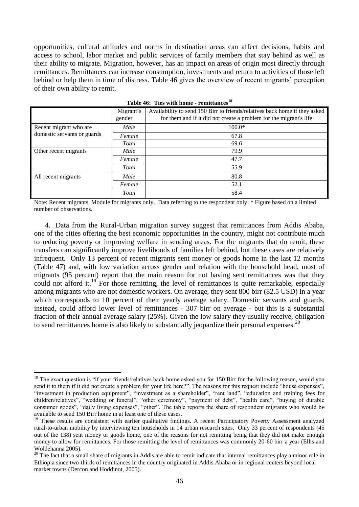opportunities, cultural attitudes and norms in destination areas can affect decisions, habits and access to school, labor market and public services of family members that stay behind as well as their ability to migrate. Migration, however, has an impact on areas of origin most directly through remittances. Remittances can increase consumption, investments and return to activities of those left behind or help them in time of distress. Table 46 gives the overview of recent migrants' perception of their own ability to remit.

<span id="page-45-0"></span>

|                             | Migrant's<br>gender | Availability to send 150 Birr to friends/relatives back home if they asked<br>for them and if it did not create a problem for the migrant's life |
|-----------------------------|---------------------|--------------------------------------------------------------------------------------------------------------------------------------------------|
| Recent migrant who are      | Male                | $100.0*$                                                                                                                                         |
| domestic servants or guards | Female              | 67.8                                                                                                                                             |
|                             | Total               | 69.6                                                                                                                                             |
| Other recent migrants       | Male                | 79.9                                                                                                                                             |
|                             | Female              | 47.7                                                                                                                                             |
|                             | Total               | 55.9                                                                                                                                             |
| All recent migrants         | Male                | 80.8                                                                                                                                             |
|                             | Female              | 52.1                                                                                                                                             |
|                             | Total               | 58.4                                                                                                                                             |

**Table 46: Ties with home - remittances<sup>18</sup>**

Note: Recent migrants. Module for migrants only. Data referring to the respondent only. \* Figure based on a limited number of observations.

4. Data from the Rural-Urban migration survey suggest that remittances from Addis Ababa, one of the cities offering the best economic opportunities in the country, might not contribute much to reducing poverty or improving welfare in sending areas. For the migrants that do remit, these transfers can significantly improve livelihoods of families left behind, but these cases are relatively infrequent. Only 13 percent of recent migrants sent money or goods home in the last 12 months (Table 47) and, with low variation across gender and relation with the household head, most of migrants (95 percent) report that the main reason for not having sent remittances was that they could not afford it.<sup>19</sup> For those remitting, the level of remittances is quite remarkable, especially among migrants who are not domestic workers. On average, they sent 800 birr (82.5 USD) in a year which corresponds to 10 percent of their yearly average salary. Domestic servants and guards, instead, could afford lower level of remittances - 307 birr on average - but this is a substantial fraction of their annual average salary (25%). Given the low salary they usually receive, obligation to send remittances home is also likely to substantially jeopardize their personal expenses.<sup>20</sup>

1

 $18$  The exact question is "if your friends/relatives back home asked you for 150 Birr for the following reason, would you send it to them if it did not create a problem for your life here?". The reasons for this request include "house expenses", "investment in production equipment", "investment as a shareholder", "rent land", "education and training fees for children/relatives", "wedding or funeral", "other ceremony", "payment of debt", "health care", "buying of durable consumer goods", "daily living expenses", "other". The table reports the share of respondent migrants who would be available to send 150 Birr home in at least one of these cases.

<sup>&</sup>lt;sup>19</sup> These results are consistent with earlier qualitative findings. A recent Participatory Poverty Assessment analyzed rural-to-urban mobility by interviewing ten households in 14 urban research sites. Only 33 percent of respondents (45 out of the 138) sent money or goods home, one of the reasons for not remitting being that they did not make enough money to allow for remittances. For those remitting the level of remittances was commonly 20-60 birr a year (Ellis and Woldehanna 2005).

 $20$  The fact that a small share of migrants in Addis are able to remit indicate that internal remittances play a minor role in Ethiopia since two-thirds of remittances in the country originated in Addis Ababa or in regional centers beyond local market towns (Dercon and Hoddinot, 2005).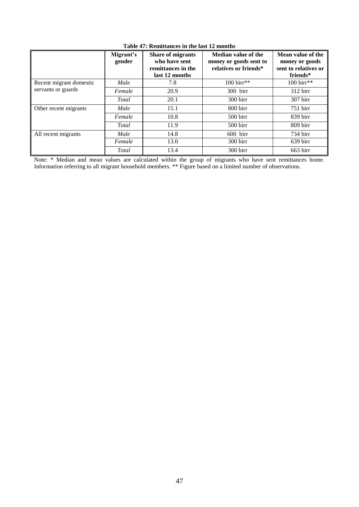<span id="page-46-0"></span>

|                         | Migrant's<br>gender | Share of migrants<br>who have sent<br>remittances in the<br>last 12 months | Median value of the<br>money or goods sent to<br>relatives or friends* | Mean value of the<br>money or goods<br>sent to relatives or<br>friends* |
|-------------------------|---------------------|----------------------------------------------------------------------------|------------------------------------------------------------------------|-------------------------------------------------------------------------|
| Recent migrant domestic | Male                | 7.8                                                                        | $100 \,\text{birr}**$                                                  | 100 birr**                                                              |
| servants or guards      | Female              | 20.9                                                                       | $300$ birr                                                             | $312 \,\text{b}$                                                        |
|                         | Total               | 20.1                                                                       | $300 \,\mathrm{b}$                                                     | 307 birr                                                                |
| Other recent migrants   | Male                | 15.1                                                                       | $800 \,\mathrm{birr}$                                                  | $751$ birr                                                              |
|                         | Female              | 10.8                                                                       | $500 \,\mathrm{birr}$                                                  | $839$ birr                                                              |
|                         | Total               | 11.9                                                                       | $500 \,\mathrm{birr}$                                                  | $809 \,\mathrm{b}$                                                      |
| All recent migrants     | Male                | 14.8                                                                       | $600$ birr                                                             | 734 birr                                                                |
|                         | Female              | 13.0                                                                       | $300 \,\mathrm{b}$                                                     | 639 birr                                                                |
|                         | Total               | 13.4                                                                       | $300 \,\mathrm{b}$                                                     | $663 \,\mathrm{b}$                                                      |

#### **Table 47: Remittances in the last 12 months**

Note: \* Median and mean values are calculated within the group of migrants who have sent remittances home. Information referring to all migrant household members. \*\* Figure based on a limited number of observations.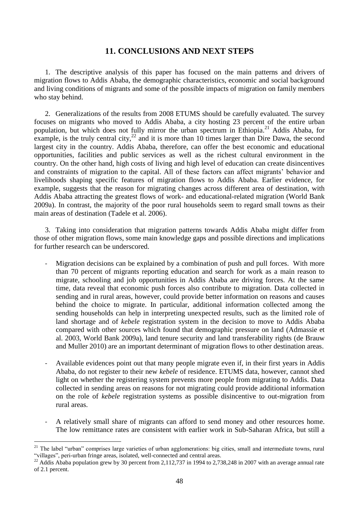### <span id="page-47-0"></span>**11. CONCLUSIONS AND NEXT STEPS**

1. The descriptive analysis of this paper has focused on the main patterns and drivers of migration flows to Addis Ababa, the demographic characteristics, economic and social background and living conditions of migrants and some of the possible impacts of migration on family members who stay behind.

2. Generalizations of the results from 2008 ETUMS should be carefully evaluated. The survey focuses on migrants who moved to Addis Ababa, a city hosting 23 percent of the entire urban population, but which does not fully mirror the urban spectrum in Ethiopia.<sup>21</sup> Addis Ababa, for example, is the truly central city,  $^{22}$  and it is more than 10 times larger than Dire Dawa, the second largest city in the country. Addis Ababa, therefore, can offer the best economic and educational opportunities, facilities and public services as well as the richest cultural environment in the country. On the other hand, high costs of living and high level of education can create disincentives and constraints of migration to the capital. All of these factors can affect migrants' behavior and livelihoods shaping specific features of migration flows to Addis Ababa. Earlier evidence, for example, suggests that the reason for migrating changes across different area of destination, with Addis Ababa attracting the greatest flows of work- and educational-related migration (World Bank 2009a). In contrast, the majority of the poor rural households seem to regard small towns as their main areas of destination (Tadele et al. 2006).

3. Taking into consideration that migration patterns towards Addis Ababa might differ from those of other migration flows, some main knowledge gaps and possible directions and implications for further research can be underscored.

- Migration decisions can be explained by a combination of push and pull forces. With more than 70 percent of migrants reporting education and search for work as a main reason to migrate, schooling and job opportunities in Addis Ababa are driving forces. At the same time, data reveal that economic push forces also contribute to migration. Data collected in sending and in rural areas, however, could provide better information on reasons and causes behind the choice to migrate. In particular, additional information collected among the sending households can help in interpreting unexpected results, such as the limited role of land shortage and of *kebele* registration system in the decision to move to Addis Ababa compared with other sources which found that demographic pressure on land (Admassie et al. 2003, World Bank 2009a), land tenure security and land transferability rights (de Brauw and Muller 2010) are an important determinant of migration flows to other destination areas.
- Available evidences point out that many people migrate even if, in their first years in Addis Ababa, do not register to their new *kebele* of residence. ETUMS data, however, cannot shed light on whether the registering system prevents more people from migrating to Addis. Data collected in sending areas on reasons for not migrating could provide additional information on the role of *kebele* registration systems as possible disincentive to out-migration from rural areas.
- A relatively small share of migrants can afford to send money and other resources home. The low remittance rates are consistent with earlier work in Sub-Saharan Africa, but still a

1

<sup>&</sup>lt;sup>21</sup> The label "urban" comprises large varieties of urban agglomerations: big cities, small and intermediate towns, rural "villages", peri-urban fringe areas, isolated, well-connected and central areas.

 $^{22}$  Addis Ababa population grew by 30 percent from 2,112,737 in 1994 to 2,738,248 in 2007 with an average annual rate of 2.1 percent.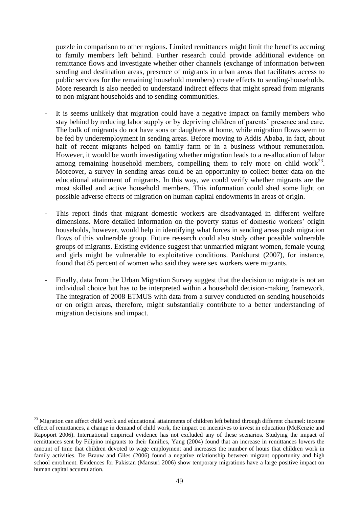puzzle in comparison to other regions. Limited remittances might limit the benefits accruing to family members left behind. Further research could provide additional evidence on remittance flows and investigate whether other channels (exchange of information between sending and destination areas, presence of migrants in urban areas that facilitates access to public services for the remaining household members) create effects to sending-households. More research is also needed to understand indirect effects that might spread from migrants to non-migrant households and to sending-communities.

- It is seems unlikely that migration could have a negative impact on family members who stay behind by reducing labor supply or by depriving children of parents' presence and care. The bulk of migrants do not have sons or daughters at home, while migration flows seem to be fed by underemployment in sending areas. Before moving to Addis Ababa, in fact, about half of recent migrants helped on family farm or in a business without remuneration. However, it would be worth investigating whether migration leads to a re-allocation of labor among remaining household members, compelling them to rely more on child work<sup>23</sup>. Moreover, a survey in sending areas could be an opportunity to collect better data on the educational attainment of migrants. In this way, we could verify whether migrants are the most skilled and active household members. This information could shed some light on possible adverse effects of migration on human capital endowments in areas of origin.
- This report finds that migrant domestic workers are disadvantaged in different welfare dimensions. More detailed information on the poverty status of domestic workers' origin households, however, would help in identifying what forces in sending areas push migration flows of this vulnerable group. Future research could also study other possible vulnerable groups of migrants. Existing evidence suggest that unmarried migrant women, female young and girls might be vulnerable to exploitative conditions. Pankhurst (2007), for instance, found that 85 percent of women who said they were sex workers were migrants.
- Finally, data from the Urban Migration Survey suggest that the decision to migrate is not an individual choice but has to be interpreted within a household decision-making framework. The integration of 2008 ETMUS with data from a survey conducted on sending households or on origin areas, therefore, might substantially contribute to a better understanding of migration decisions and impact.

1

 $23$  Migration can affect child work and educational attainments of children left behind through different channel: income effect of remittances, a change in demand of child work, the impact on incentives to invest in education (McKenzie and Rapoport 2006). International empirical evidence has not excluded any of these scenarios. Studying the impact of remittances sent by Filipino migrants to their families, Yang (2004) found that an increase in remittances lowers the amount of time that children devoted to wage employment and increases the number of hours that children work in family activities. De Brauw and Giles (2006) found a negative relationship between migrant opportunity and high school enrolment. Evidences for Pakistan (Mansuri 2006) show temporary migrations have a large positive impact on human capital accumulation.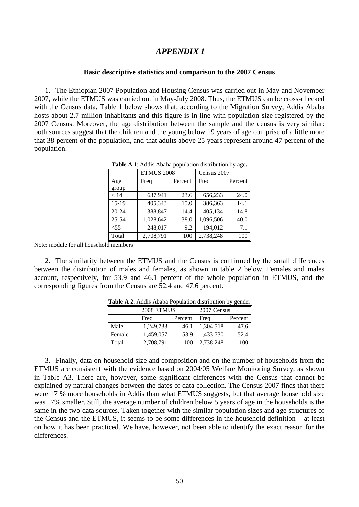### <span id="page-49-0"></span>*APPENDIX 1*

#### **Basic descriptive statistics and comparison to the 2007 Census**

<span id="page-49-2"></span><span id="page-49-1"></span>1. The Ethiopian 2007 Population and Housing Census was carried out in May and November 2007, while the ETMUS was carried out in May-July 2008. Thus, the ETMUS can be cross-checked with the Census data. Table 1 below shows that, according to the Migration Survey, Addis Ababa hosts about 2.7 million inhabitants and this figure is in line with population size registered by the 2007 Census. Moreover, the age distribution between the sample and the census is very similar: both sources suggest that the children and the young below 19 years of age comprise of a little more that 38 percent of the population, and that adults above 25 years represent around 47 percent of the population.

|              | <b>ETMUS 2008</b> |         | Census 2007 |         |
|--------------|-------------------|---------|-------------|---------|
| Age<br>group | Freq              | Percent | Freq        | Percent |
| < 14         | 637,941           | 23.6    | 656,233     | 24.0    |
| 15-19        | 405,343           | 15.0    | 386,363     | 14.1    |
| $20 - 24$    | 388,847           | 14.4    | 405,134     | 14.8    |
| $25 - 54$    | 1,028,642         | 38.0    | 1,096,506   | 40.0    |
| $<$ 55       | 248,017           | 9.2     | 194,012     | 7.1     |
| Total        | 2,708,791         | 100     | 2,738,248   | 100     |

**Table A 1**: Addis Ababa population distribution by age**.**

Note: module for all household members

<span id="page-49-3"></span>2. The similarity between the ETMUS and the Census is confirmed by the small differences between the distribution of males and females, as shown in table 2 below. Females and males account, respectively, for 53.9 and 46.1 percent of the whole population in ETMUS, and the corresponding figures from the Census are 52.4 and 47.6 percent.

|        | 2008 ETMUS |         | 2007 Census |         |  |
|--------|------------|---------|-------------|---------|--|
|        | Freq       | Percent | Frea        | Percent |  |
| Male   | 1,249,733  | 46.1    | 1,304,518   | 47.6    |  |
| Female | 1,459,057  | 53.9    | 1,433,730   | 52.4    |  |
| Total  | 2,708,791  | 100     | 2,738,248   | 100     |  |

**Table A 2**: Addis Ababa Population distribution by gender

3. Finally, data on household size and composition and on the number of households from the ETMUS are consistent with the evidence based on 2004/05 Welfare Monitoring Survey, as shown in Table A3. There are, however, some significant differences with the Census that cannot be explained by natural changes between the dates of data collection. The Census 2007 finds that there were 17 % more households in Addis than what ETMUS suggests, but that average household size was 17% smaller. Still, the average number of children below 5 years of age in the households is the same in the two data sources. Taken together with the similar population sizes and age structures of the Census and the ETMUS, it seems to be some differences in the household definition – at least on how it has been practiced. We have, however, not been able to identify the exact reason for the differences.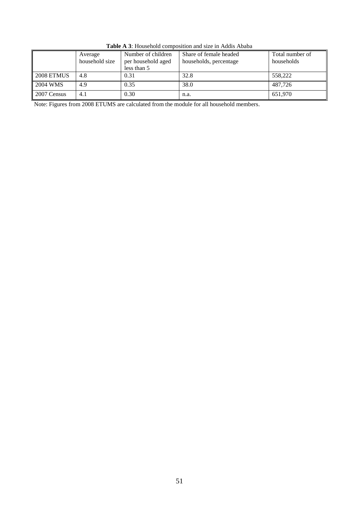<span id="page-50-0"></span>

|             | Average<br>household size | Number of children<br>per household aged<br>less than 5 | Share of female headed<br>households, percentage | Total number of<br>households |
|-------------|---------------------------|---------------------------------------------------------|--------------------------------------------------|-------------------------------|
| 2008 ETMUS  | 4.8                       | 0.31                                                    | 32.8                                             | 558,222                       |
| 2004 WMS    | 4.9                       | 0.35                                                    | 38.0                                             | 487.726                       |
| 2007 Census | 4.1                       | 0.30                                                    | n.a.                                             | 651.970                       |

**Table A 3**: Household composition and size in Addis Ababa

Note: Figures from 2008 ETUMS are calculated from the module for all household members.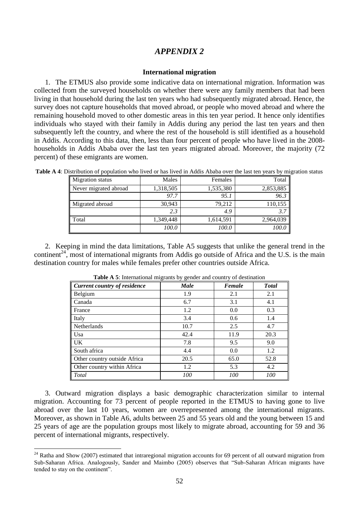### *APPENDIX 2*

#### **International migration**

<span id="page-51-1"></span><span id="page-51-0"></span>1. The ETMUS also provide some indicative data on international migration. Information was collected from the surveyed households on whether there were any family members that had been living in that household during the last ten years who had subsequently migrated abroad. Hence, the survey does not capture households that moved abroad, or people who moved abroad and where the remaining household moved to other domestic areas in this ten year period. It hence only identifies individuals who stayed with their family in Addis during any period the last ten years and then subsequently left the country, and where the rest of the household is still identified as a household in Addis. According to this data, then, less than four percent of people who have lived in the 2008 households in Addis Ababa over the last ten years migrated abroad. Moreover, the majority (72 percent) of these emigrants are women.

| <b>Migration</b> status | Males     | Females   | Total     |
|-------------------------|-----------|-----------|-----------|
| Never migrated abroad   | 1,318,505 | 1,535,380 | 2,853,885 |
|                         | 97.7      | 95.1      | 96.3      |
| Migrated abroad         | 30,943    | 79,212    | 110,155   |
|                         | 2.3       | 4.9       | 3.7       |
| l Total                 | 1,349,448 | 1,614,591 | 2,964,039 |
|                         | 100.0     | 100.0     | 100.0     |

<span id="page-51-2"></span>**Table A 4**: Distribution of population who lived or has lived in Addis Ababa over the last ten years by migration status

<span id="page-51-3"></span>2. Keeping in mind the data limitations, Table A5 suggests that unlike the general trend in the continent<sup>24</sup>, most of international migrants from Addis go outside of Africa and the U.S. is the main destination country for males while females prefer other countries outside Africa.

| Current country of residence | <b>Male</b> | Female | <b>T</b> otal |
|------------------------------|-------------|--------|---------------|
| Belgium                      | 1.9         | 2.1    | 2.1           |
| Canada                       | 6.7         | 3.1    | 4.1           |
| France                       | 1.2         | 0.0    | 0.3           |
| Italy                        | 3.4         | 0.6    | 1.4           |
| Netherlands                  | 10.7        | 2.5    | 4.7           |
| Usa                          | 42.4        | 11.9   | 20.3          |
| <b>UK</b>                    | 7.8         | 9.5    | 9.0           |
| South africa                 | 4.4         | 0.0    | 1.2           |
| Other country outside Africa | 20.5        | 65.0   | 52.8          |
| Other country within Africa  | 1.2         | 5.3    | 4.2           |
| Total                        | <i>100</i>  | 100    | <i>100</i>    |

**Table A 5**: International migrants by gender and country of destination

3. Outward migration displays a basic demographic characterization similar to internal migration. Accounting for 73 percent of people reported in the ETMUS to having gone to live abroad over the last 10 years, women are overrepresented among the international migrants. Moreover, as shown in Table A6, adults between 25 and 55 years old and the young between 15 and 25 years of age are the population groups most likely to migrate abroad, accounting for 59 and 36 percent of international migrants, respectively.

<u>.</u>

 $24$  Ratha and Show (2007) estimated that intraregional migration accounts for 69 percent of all outward migration from Sub-Saharan Africa. Analogously, Sander and Maimbo (2005) observes that "Sub-Saharan African migrants have tended to stay on the continent".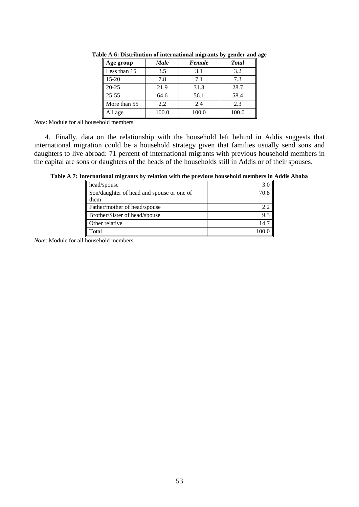| Age group    | Male  | Female | <b>Total</b> |
|--------------|-------|--------|--------------|
| Less than 15 | 3.5   | 3.1    | 3.2          |
| $15 - 20$    | 7.8   | 7.1    | 7.3          |
| $20 - 25$    | 21.9  | 31.3   | 28.7         |
| $25 - 55$    | 64.6  | 56.1   | 58.4         |
| More than 55 | 2.2   | 2.4    | 2.3          |
| All age      | 100.0 | 100.0  | 100.0        |

<span id="page-52-0"></span>**Table A 6: Distribution of international migrants by gender and age**

*Note*: Module for all household members

4. Finally, data on the relationship with the household left behind in Addis suggests that international migration could be a household strategy given that families usually send sons and daughters to live abroad: 71 percent of international migrants with previous household members in the capital are sons or daughters of the heads of the households still in Addis or of their spouses.

<span id="page-52-1"></span>

|  | Table A 7: International migrants by relation with the previous household members in Addis Ababa |  |  |  |  |
|--|--------------------------------------------------------------------------------------------------|--|--|--|--|
|--|--------------------------------------------------------------------------------------------------|--|--|--|--|

| head/spouse                               |      |
|-------------------------------------------|------|
| Son/daughter of head and spouse or one of | 70 R |
| them                                      |      |
| Father/mother of head/spouse              | 2.2  |
| Brother/Sister of head/spouse             | 9.3  |
| Other relative                            | 14.7 |
| Total                                     |      |

*Note*: Module for all household members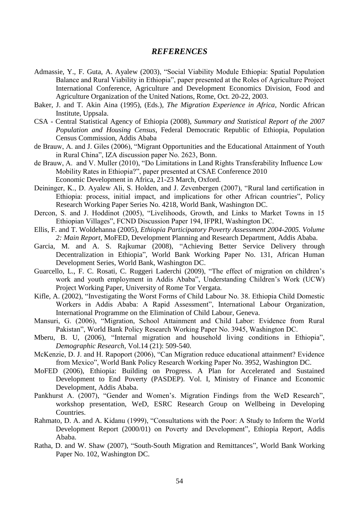### *REFERENCES*

- <span id="page-53-0"></span>Admassie, Y., F. Guta, A. Ayalew (2003), "Social Viability Module Ethiopia: Spatial Population Balance and Rural Viability in Ethiopia", paper presented at the Roles of Agriculture Project International Conference, Agriculture and Development Economics Division, Food and Agriculture Organization of the United Nations, Rome, Oct. 20-22, 2003.
- Baker, J. and T. Akin Aina (1995), (Eds.), *The Migration Experience in Africa*, Nordic African Institute, Uppsala.
- CSA Central Statistical Agency of Ethiopia (2008), *Summary and Statistical Report of the 2007 Population and Housing Census*, Federal Democratic Republic of Ethiopia, Population Census Commission, Addis Ababa
- de Brauw, A. and J. Giles (2006), "Migrant Opportunities and the Educational Attainment of Youth in Rural China", IZA discussion paper No. 2623, Bonn.
- de Brauw, A. and V. Muller (2010), "Do Limitations in Land Rights Transferability Influence Low Mobility Rates in Ethiopia?", paper presented at CSAE Conference 2010 Economic Development in Africa, 21-23 March, Oxford.
- Deininger, K., D. Ayalew Ali, S. Holden, and J. Zevenbergen (2007), "Rural land certification in Ethiopia: process, initial impact, and implications for other African countries", Policy Research Working Paper Series No. 4218, World Bank, Washington DC.
- Dercon, S. and J. Hoddinot (2005), "Livelihoods, Growth, and Links to Market Towns in 15 Ethiopian Villages", FCND Discussion Paper 194, IFPRI, Washington DC.
- Ellis, F. and T. Woldehanna (2005), *Ethiopia Participatory Poverty Assessment 2004-2005. Volume 2: Main Report*, MoFED, Development Planning and Research Department, Addis Ababa.
- Garcia, M. and A. S. Rajkumar (2008), "Achieving Better Service Delivery through Decentralization in Ethiopia", World Bank Working Paper No. 131, African Human Development Series, World Bank, Washington DC.
- Guarcello, L., F. C. Rosati, C. Ruggeri Laderchi (2009), "The effect of migration on children's work and youth employment in Addis Ababa", Understanding Children's Work (UCW) Project Working Paper, University of Rome Tor Vergata.
- Kifle, A. (2002), "Investigating the Worst Forms of Child Labour No. 38. Ethiopia Child Domestic Workers in Addis Ababa: A Rapid Assessment", International Labour Organization, International Programme on the Elimination of Child Labour, Geneva.
- Mansuri, G. (2006), "Migration, School Attainment and Child Labor: Evidence from Rural Pakistan", World Bank Policy Research Working Paper No. 3945, Washington DC.
- Mberu, B. U, (2006), "Internal migration and household living conditions in Ethiopia", *Demographic Research*, Vol.14 (21): 509-540.
- McKenzie, D. J. and H. Rapoport (2006), "Can Migration reduce educational attainment? Evidence from Mexico‖, World Bank Policy Research Working Paper No. 3952, Washington DC.
- MoFED (2006), Ethiopia: Building on Progress. A Plan for Accelerated and Sustained Development to End Poverty (PASDEP). Vol. I, Ministry of Finance and Economic Development, Addis Ababa.
- Pankhurst A. (2007), "Gender and Women's. Migration Findings from the WeD Research", workshop presentation, WeD, ESRC Research Group on Wellbeing in Developing Countries.
- Rahmato, D. A. and A. Kidanu (1999), "Consultations with the Poor: A Study to Inform the World Development Report (2000/01) on Poverty and Development", Ethiopia Report, Addis Ababa.
- Ratha, D. and W. Shaw (2007), "South-South Migration and Remittances", World Bank Working Paper No. 102, Washington DC.